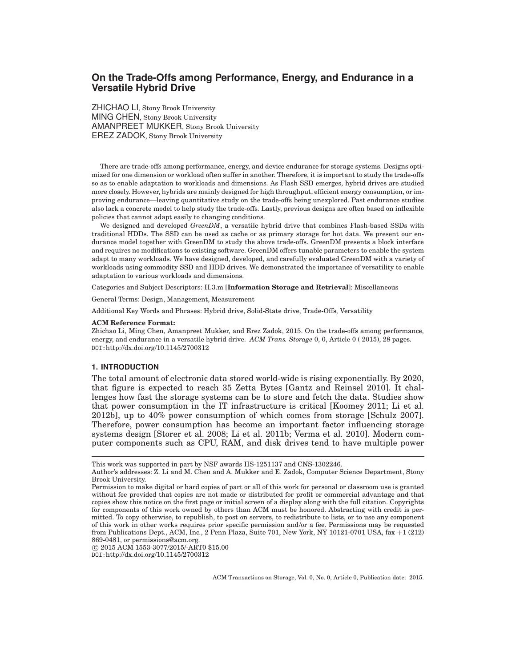# **On the Trade-Offs among Performance, Energy, and Endurance in a Versatile Hybrid Drive**

ZHICHAO LI, Stony Brook University MING CHEN, Stony Brook University AMANPREET MUKKER, Stony Brook University EREZ ZADOK, Stony Brook University

There are trade-offs among performance, energy, and device endurance for storage systems. Designs optimized for one dimension or workload often suffer in another. Therefore, it is important to study the trade-offs so as to enable adaptation to workloads and dimensions. As Flash SSD emerges, hybrid drives are studied more closely. However, hybrids are mainly designed for high throughput, efficient energy consumption, or improving endurance—leaving quantitative study on the trade-offs being unexplored. Past endurance studies also lack a concrete model to help study the trade-offs. Lastly, previous designs are often based on inflexible policies that cannot adapt easily to changing conditions.

We designed and developed *GreenDM*, a versatile hybrid drive that combines Flash-based SSDs with traditional HDDs. The SSD can be used as cache or as primary storage for hot data. We present our endurance model together with GreenDM to study the above trade-offs. GreenDM presents a block interface and requires no modifications to existing software. GreenDM offers tunable parameters to enable the system adapt to many workloads. We have designed, developed, and carefully evaluated GreenDM with a variety of workloads using commodity SSD and HDD drives. We demonstrated the importance of versatility to enable adaptation to various workloads and dimensions.

Categories and Subject Descriptors: H.3.m [**Information Storage and Retrieval**]: Miscellaneous

General Terms: Design, Management, Measurement

Additional Key Words and Phrases: Hybrid drive, Solid-State drive, Trade-Offs, Versatility

### **ACM Reference Format:**

Zhichao Li, Ming Chen, Amanpreet Mukker, and Erez Zadok, 2015. On the trade-offs among performance, energy, and endurance in a versatile hybrid drive. *ACM Trans. Storage* 0, 0, Article 0 ( 2015), 28 pages. DOI:http://dx.doi.org/10.1145/2700312

#### **1. INTRODUCTION**

The total amount of electronic data stored world-wide is rising exponentially. By 2020, that figure is expected to reach 35 Zetta Bytes [Gantz and Reinsel 2010]. It challenges how fast the storage systems can be to store and fetch the data. Studies show that power consumption in the IT infrastructure is critical [Koomey 2011; Li et al. 2012b], up to 40% power consumption of which comes from storage [Schulz 2007]. Therefore, power consumption has become an important factor influencing storage systems design [Storer et al. 2008; Li et al. 2011b; Verma et al. 2010]. Modern computer components such as CPU, RAM, and disk drives tend to have multiple power

c 2015 ACM 1553-3077/2015/-ART0 \$15.00

DOI:http://dx.doi.org/10.1145/2700312

This work was supported in part by NSF awards IIS-1251137 and CNS-1302246.

Author's addresses: Z. Li and M. Chen and A. Mukker and E. Zadok, Computer Science Department, Stony Brook University.

Permission to make digital or hard copies of part or all of this work for personal or classroom use is granted without fee provided that copies are not made or distributed for profit or commercial advantage and that copies show this notice on the first page or initial screen of a display along with the full citation. Copyrights for components of this work owned by others than ACM must be honored. Abstracting with credit is permitted. To copy otherwise, to republish, to post on servers, to redistribute to lists, or to use any component of this work in other works requires prior specific permission and/or a fee. Permissions may be requested from Publications Dept., ACM, Inc., 2 Penn Plaza, Suite 701, New York, NY 10121-0701 USA, fax +1 (212) 869-0481, or permissions@acm.org.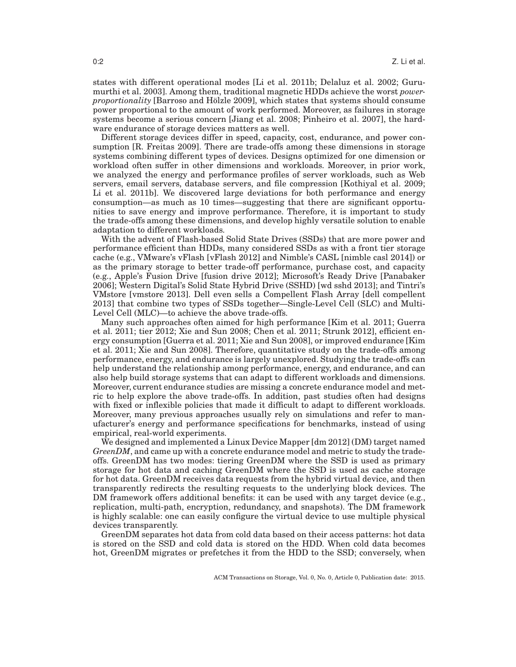states with different operational modes [Li et al. 2011b; Delaluz et al. 2002; Gurumurthi et al. 2003]. Among them, traditional magnetic HDDs achieve the worst *powerproportionality* [Barroso and Hölzle 2009], which states that systems should consume power proportional to the amount of work performed. Moreover, as failures in storage systems become a serious concern [Jiang et al. 2008; Pinheiro et al. 2007], the hardware endurance of storage devices matters as well.

Different storage devices differ in speed, capacity, cost, endurance, and power consumption [R. Freitas 2009]. There are trade-offs among these dimensions in storage systems combining different types of devices. Designs optimized for one dimension or workload often suffer in other dimensions and workloads. Moreover, in prior work, we analyzed the energy and performance profiles of server workloads, such as Web servers, email servers, database servers, and file compression [Kothiyal et al. 2009; Li et al. 2011b]. We discovered large deviations for both performance and energy consumption—as much as 10 times—suggesting that there are significant opportunities to save energy and improve performance. Therefore, it is important to study the trade-offs among these dimensions, and develop highly versatile solution to enable adaptation to different workloads.

With the advent of Flash-based Solid State Drives (SSDs) that are more power and performance efficient than HDDs, many considered SSDs as with a front tier storage cache (e.g., VMware's vFlash [vFlash 2012] and Nimble's CASL [nimble casl 2014]) or as the primary storage to better trade-off performance, purchase cost, and capacity (e.g., Apple's Fusion Drive [fusion drive 2012]; Microsoft's Ready Drive [Panabaker 2006]; Western Digital's Solid State Hybrid Drive (SSHD) [wd sshd 2013]; and Tintri's VMstore [vmstore 2013]. Dell even sells a Compellent Flash Array [dell compellent 2013] that combine two types of SSDs together—Single-Level Cell (SLC) and Multi-Level Cell (MLC)—to achieve the above trade-offs.

Many such approaches often aimed for high performance [Kim et al. 2011; Guerra et al. 2011; tier 2012; Xie and Sun 2008; Chen et al. 2011; Strunk 2012], efficient energy consumption [Guerra et al. 2011; Xie and Sun 2008], or improved endurance [Kim et al. 2011; Xie and Sun 2008]. Therefore, quantitative study on the trade-offs among performance, energy, and endurance is largely unexplored. Studying the trade-offs can help understand the relationship among performance, energy, and endurance, and can also help build storage systems that can adapt to different workloads and dimensions. Moreover, current endurance studies are missing a concrete endurance model and metric to help explore the above trade-offs. In addition, past studies often had designs with fixed or inflexible policies that made it difficult to adapt to different workloads. Moreover, many previous approaches usually rely on simulations and refer to manufacturer's energy and performance specifications for benchmarks, instead of using empirical, real-world experiments.

We designed and implemented a Linux Device Mapper [dm 2012] (DM) target named *GreenDM*, and came up with a concrete endurance model and metric to study the tradeoffs. GreenDM has two modes: tiering GreenDM where the SSD is used as primary storage for hot data and caching GreenDM where the SSD is used as cache storage for hot data. GreenDM receives data requests from the hybrid virtual device, and then transparently redirects the resulting requests to the underlying block devices. The DM framework offers additional benefits: it can be used with any target device (e.g., replication, multi-path, encryption, redundancy, and snapshots). The DM framework is highly scalable: one can easily configure the virtual device to use multiple physical devices transparently.

GreenDM separates hot data from cold data based on their access patterns: hot data is stored on the SSD and cold data is stored on the HDD. When cold data becomes hot, GreenDM migrates or prefetches it from the HDD to the SSD; conversely, when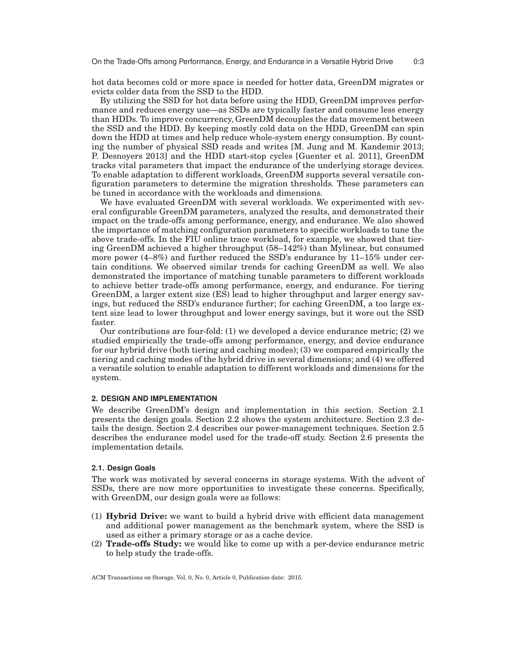hot data becomes cold or more space is needed for hotter data, GreenDM migrates or evicts colder data from the SSD to the HDD.

By utilizing the SSD for hot data before using the HDD, GreenDM improves performance and reduces energy use—as SSDs are typically faster and consume less energy than HDDs. To improve concurrency, GreenDM decouples the data movement between the SSD and the HDD. By keeping mostly cold data on the HDD, GreenDM can spin down the HDD at times and help reduce whole-system energy consumption. By counting the number of physical SSD reads and writes [M. Jung and M. Kandemir 2013; P. Desnoyers 2013] and the HDD start-stop cycles [Guenter et al. 2011], GreenDM tracks vital parameters that impact the endurance of the underlying storage devices. To enable adaptation to different workloads, GreenDM supports several versatile configuration parameters to determine the migration thresholds. These parameters can be tuned in accordance with the workloads and dimensions.

We have evaluated GreenDM with several workloads. We experimented with several configurable GreenDM parameters, analyzed the results, and demonstrated their impact on the trade-offs among performance, energy, and endurance. We also showed the importance of matching configuration parameters to specific workloads to tune the above trade-offs. In the FIU online trace workload, for example, we showed that tiering GreenDM achieved a higher throughput (58–142%) than Mylinear, but consumed more power (4–8%) and further reduced the SSD's endurance by 11–15% under certain conditions. We observed similar trends for caching GreenDM as well. We also demonstrated the importance of matching tunable parameters to different workloads to achieve better trade-offs among performance, energy, and endurance. For tiering GreenDM, a larger extent size (ES) lead to higher throughput and larger energy savings, but reduced the SSD's endurance further; for caching GreenDM, a too large extent size lead to lower throughput and lower energy savings, but it wore out the SSD faster.

Our contributions are four-fold: (1) we developed a device endurance metric; (2) we studied empirically the trade-offs among performance, energy, and device endurance for our hybrid drive (both tiering and caching modes); (3) we compared empirically the tiering and caching modes of the hybrid drive in several dimensions; and (4) we offered a versatile solution to enable adaptation to different workloads and dimensions for the system.

### **2. DESIGN AND IMPLEMENTATION**

We describe GreenDM's design and implementation in this section. Section 2.1 presents the design goals. Section 2.2 shows the system architecture. Section 2.3 details the design. Section 2.4 describes our power-management techniques. Section 2.5 describes the endurance model used for the trade-off study. Section 2.6 presents the implementation details.

## **2.1. Design Goals**

The work was motivated by several concerns in storage systems. With the advent of SSDs, there are now more opportunities to investigate these concerns. Specifically, with GreenDM, our design goals were as follows:

- (1) **Hybrid Drive:** we want to build a hybrid drive with efficient data management and additional power management as the benchmark system, where the SSD is used as either a primary storage or as a cache device.
- (2) **Trade-offs Study:** we would like to come up with a per-device endurance metric to help study the trade-offs.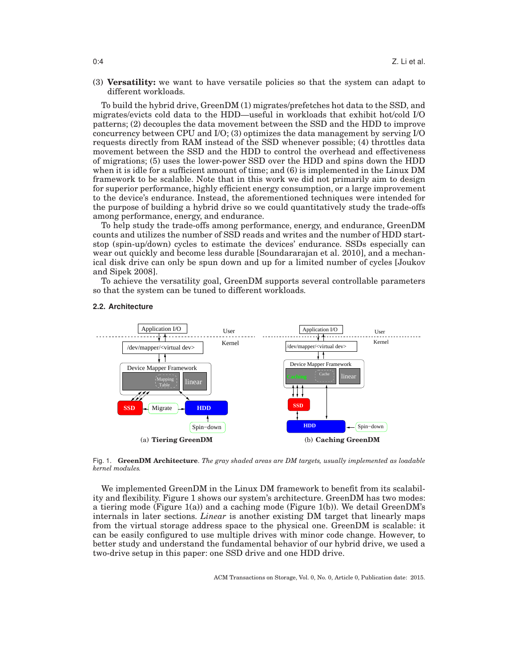(3) **Versatility:** we want to have versatile policies so that the system can adapt to different workloads.

To build the hybrid drive, GreenDM (1) migrates/prefetches hot data to the SSD, and migrates/evicts cold data to the HDD—useful in workloads that exhibit hot/cold I/O patterns; (2) decouples the data movement between the SSD and the HDD to improve concurrency between CPU and I/O; (3) optimizes the data management by serving I/O requests directly from RAM instead of the SSD whenever possible; (4) throttles data movement between the SSD and the HDD to control the overhead and effectiveness of migrations; (5) uses the lower-power SSD over the HDD and spins down the HDD when it is idle for a sufficient amount of time; and (6) is implemented in the Linux DM framework to be scalable. Note that in this work we did not primarily aim to design for superior performance, highly efficient energy consumption, or a large improvement to the device's endurance. Instead, the aforementioned techniques were intended for the purpose of building a hybrid drive so we could quantitatively study the trade-offs among performance, energy, and endurance.

To help study the trade-offs among performance, energy, and endurance, GreenDM counts and utilizes the number of SSD reads and writes and the number of HDD startstop (spin-up/down) cycles to estimate the devices' endurance. SSDs especially can wear out quickly and become less durable [Soundararajan et al. 2010], and a mechanical disk drive can only be spun down and up for a limited number of cycles [Joukov and Sipek 2008].

To achieve the versatility goal, GreenDM supports several controllable parameters so that the system can be tuned to different workloads.



### **2.2. Architecture**

Fig. 1. **GreenDM Architecture**. *The gray shaded areas are DM targets, usually implemented as loadable kernel modules.*

We implemented GreenDM in the Linux DM framework to benefit from its scalability and flexibility. Figure 1 shows our system's architecture. GreenDM has two modes: a tiering mode (Figure 1(a)) and a caching mode (Figure 1(b)). We detail GreenDM's internals in later sections. *Linear* is another existing DM target that linearly maps from the virtual storage address space to the physical one. GreenDM is scalable: it can be easily configured to use multiple drives with minor code change. However, to better study and understand the fundamental behavior of our hybrid drive, we used a two-drive setup in this paper: one SSD drive and one HDD drive.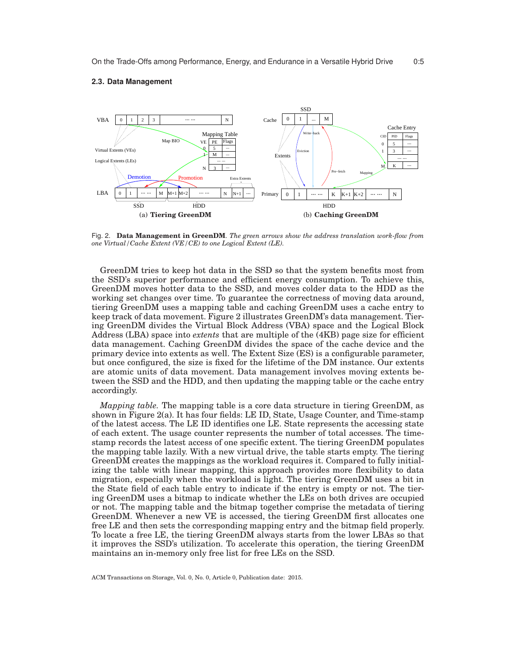

Fig. 2. **Data Management in GreenDM**. *The green arrows show the address translation work-flow from one Virtual/Cache Extent (VE/CE) to one Logical Extent (LE).*

GreenDM tries to keep hot data in the SSD so that the system benefits most from the SSD's superior performance and efficient energy consumption. To achieve this, GreenDM moves hotter data to the SSD, and moves colder data to the HDD as the working set changes over time. To guarantee the correctness of moving data around, tiering GreenDM uses a mapping table and caching GreenDM uses a cache entry to keep track of data movement. Figure 2 illustrates GreenDM's data management. Tiering GreenDM divides the Virtual Block Address (VBA) space and the Logical Block Address (LBA) space into *extents* that are multiple of the (4KB) page size for efficient data management. Caching GreenDM divides the space of the cache device and the primary device into extents as well. The Extent Size (ES) is a configurable parameter, but once configured, the size is fixed for the lifetime of the DM instance. Our extents are atomic units of data movement. Data management involves moving extents between the SSD and the HDD, and then updating the mapping table or the cache entry accordingly.

*Mapping table.* The mapping table is a core data structure in tiering GreenDM, as shown in Figure 2(a). It has four fields: LE ID, State, Usage Counter, and Time-stamp of the latest access. The LE ID identifies one LE. State represents the accessing state of each extent. The usage counter represents the number of total accesses. The timestamp records the latest access of one specific extent. The tiering GreenDM populates the mapping table lazily. With a new virtual drive, the table starts empty. The tiering GreenDM creates the mappings as the workload requires it. Compared to fully initializing the table with linear mapping, this approach provides more flexibility to data migration, especially when the workload is light. The tiering GreenDM uses a bit in the State field of each table entry to indicate if the entry is empty or not. The tiering GreenDM uses a bitmap to indicate whether the LEs on both drives are occupied or not. The mapping table and the bitmap together comprise the metadata of tiering GreenDM. Whenever a new VE is accessed, the tiering GreenDM first allocates one free LE and then sets the corresponding mapping entry and the bitmap field properly. To locate a free LE, the tiering GreenDM always starts from the lower LBAs so that it improves the SSD's utilization. To accelerate this operation, the tiering GreenDM maintains an in-memory only free list for free LEs on the SSD.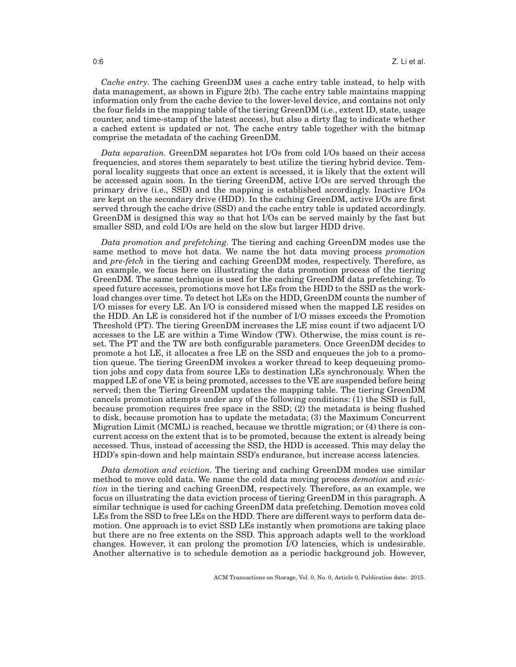*Cache entry.* The caching GreenDM uses a cache entry table instead, to help with data management, as shown in Figure 2(b). The cache entry table maintains mapping information only from the cache device to the lower-level device, and contains not only the four fields in the mapping table of the tiering GreenDM (i.e., extent ID, state, usage counter, and time-stamp of the latest access), but also a dirty flag to indicate whether a cached extent is updated or not. The cache entry table together with the bitmap comprise the metadata of the caching GreenDM.

*Data separation.* GreenDM separates hot I/Os from cold I/Os based on their access frequencies, and stores them separately to best utilize the tiering hybrid device. Temporal locality suggests that once an extent is accessed, it is likely that the extent will be accessed again soon. In the tiering GreenDM, active I/Os are served through the primary drive (i.e., SSD) and the mapping is established accordingly. Inactive I/Os are kept on the secondary drive (HDD). In the caching GreenDM, active I/Os are first served through the cache drive (SSD) and the cache entry table is updated accordingly. GreenDM is designed this way so that hot I/Os can be served mainly by the fast but smaller SSD, and cold I/Os are held on the slow but larger HDD drive.

*Data promotion and prefetching.* The tiering and caching GreenDM modes use the same method to move hot data. We name the hot data moving process *promotion* and *pre-fetch* in the tiering and caching GreenDM modes, respectively. Therefore, as an example, we focus here on illustrating the data promotion process of the tiering GreenDM. The same technique is used for the caching GreenDM data prefetching. To speed future accesses, promotions move hot LEs from the HDD to the SSD as the workload changes over time. To detect hot LEs on the HDD, GreenDM counts the number of I/O misses for every LE. An I/O is considered missed when the mapped LE resides on the HDD. An LE is considered hot if the number of I/O misses exceeds the Promotion Threshold (PT). The tiering GreenDM increases the LE miss count if two adjacent I/O accesses to the LE are within a Time Window (TW). Otherwise, the miss count is reset. The PT and the TW are both configurable parameters. Once GreenDM decides to promote a hot LE, it allocates a free LE on the SSD and enqueues the job to a promotion queue. The tiering GreenDM invokes a worker thread to keep dequeuing promotion jobs and copy data from source LEs to destination LEs synchronously. When the mapped LE of one VE is being promoted, accesses to the VE are suspended before being served; then the Tiering GreenDM updates the mapping table. The tiering GreenDM cancels promotion attempts under any of the following conditions: (1) the SSD is full, because promotion requires free space in the SSD; (2) the metadata is being flushed to disk, because promotion has to update the metadata; (3) the Maximum Concurrent Migration Limit (MCML) is reached, because we throttle migration; or (4) there is concurrent access on the extent that is to be promoted, because the extent is already being accessed. Thus, instead of accessing the SSD, the HDD is accessed. This may delay the HDD's spin-down and help maintain SSD's endurance, but increase access latencies.

*Data demotion and eviction.* The tiering and caching GreenDM modes use similar method to move cold data. We name the cold data moving process *demotion* and *eviction* in the tiering and caching GreenDM, respectively. Therefore, as an example, we focus on illustrating the data eviction process of tiering GreenDM in this paragraph. A similar technique is used for caching GreenDM data prefetching. Demotion moves cold LEs from the SSD to free LEs on the HDD. There are different ways to perform data demotion. One approach is to evict SSD LEs instantly when promotions are taking place but there are no free extents on the SSD. This approach adapts well to the workload changes. However, it can prolong the promotion I/O latencies, which is undesirable. Another alternative is to schedule demotion as a periodic background job. However,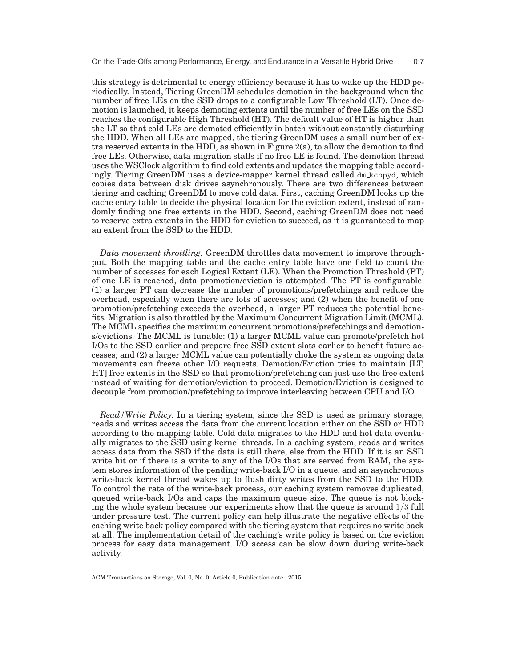this strategy is detrimental to energy efficiency because it has to wake up the HDD periodically. Instead, Tiering GreenDM schedules demotion in the background when the number of free LEs on the SSD drops to a configurable Low Threshold (LT). Once demotion is launched, it keeps demoting extents until the number of free LEs on the SSD reaches the configurable High Threshold (HT). The default value of HT is higher than the LT so that cold LEs are demoted efficiently in batch without constantly disturbing the HDD. When all LEs are mapped, the tiering GreenDM uses a small number of extra reserved extents in the HDD, as shown in Figure 2(a), to allow the demotion to find free LEs. Otherwise, data migration stalls if no free LE is found. The demotion thread uses the WSClock algorithm to find cold extents and updates the mapping table accordingly. Tiering GreenDM uses a device-mapper kernel thread called dm kcopyd, which copies data between disk drives asynchronously. There are two differences between tiering and caching GreenDM to move cold data. First, caching GreenDM looks up the cache entry table to decide the physical location for the eviction extent, instead of randomly finding one free extents in the HDD. Second, caching GreenDM does not need to reserve extra extents in the HDD for eviction to succeed, as it is guaranteed to map an extent from the SSD to the HDD.

*Data movement throttling.* GreenDM throttles data movement to improve throughput. Both the mapping table and the cache entry table have one field to count the number of accesses for each Logical Extent (LE). When the Promotion Threshold (PT) of one LE is reached, data promotion/eviction is attempted. The PT is configurable: (1) a larger PT can decrease the number of promotions/prefetchings and reduce the overhead, especially when there are lots of accesses; and (2) when the benefit of one promotion/prefetching exceeds the overhead, a larger PT reduces the potential benefits. Migration is also throttled by the Maximum Concurrent Migration Limit (MCML). The MCML specifies the maximum concurrent promotions/prefetchings and demotions/evictions. The MCML is tunable: (1) a larger MCML value can promote/prefetch hot I/Os to the SSD earlier and prepare free SSD extent slots earlier to benefit future accesses; and (2) a larger MCML value can potentially choke the system as ongoing data movements can freeze other I/O requests. Demotion/Eviction tries to maintain [LT, HT] free extents in the SSD so that promotion/prefetching can just use the free extent instead of waiting for demotion/eviction to proceed. Demotion/Eviction is designed to decouple from promotion/prefetching to improve interleaving between CPU and I/O.

*Read/Write Policy.* In a tiering system, since the SSD is used as primary storage, reads and writes access the data from the current location either on the SSD or HDD according to the mapping table. Cold data migrates to the HDD and hot data eventually migrates to the SSD using kernel threads. In a caching system, reads and writes access data from the SSD if the data is still there, else from the HDD. If it is an SSD write hit or if there is a write to any of the I/Os that are served from RAM, the system stores information of the pending write-back I/O in a queue, and an asynchronous write-back kernel thread wakes up to flush dirty writes from the SSD to the HDD. To control the rate of the write-back process, our caching system removes duplicated, queued write-back I/Os and caps the maximum queue size. The queue is not blocking the whole system because our experiments show that the queue is around 1/3 full under pressure test. The current policy can help illustrate the negative effects of the caching write back policy compared with the tiering system that requires no write back at all. The implementation detail of the caching's write policy is based on the eviction process for easy data management. I/O access can be slow down during write-back activity.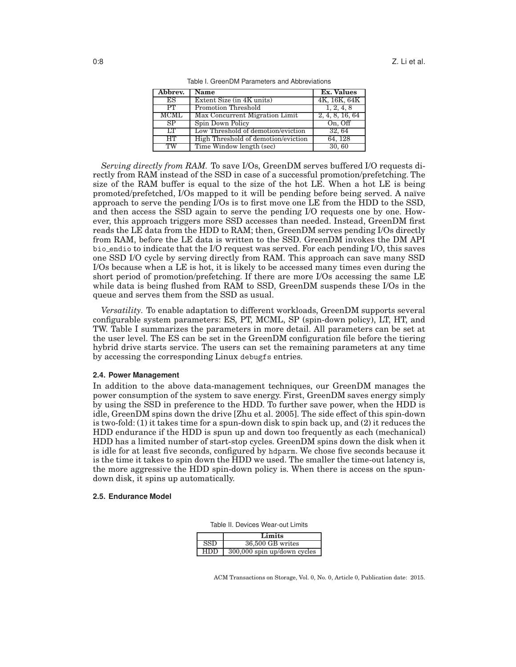| Abbrev.     | <b>Name</b>                         | <b>Ex.</b> Values |
|-------------|-------------------------------------|-------------------|
| ES          | Extent Size (in 4K units)           | 4K, 16K, 64K      |
| PT          | Promotion Threshold                 | 1, 2, 4, 8        |
| <b>MCML</b> | Max Concurrent Migration Limit      | 2, 4, 8, 16, 64   |
| SP          | Spin Down Policy                    | On, Off           |
| T T         | Low Threshold of demotion/eviction  | 32, 64            |
| HT          | High Threshold of demotion/eviction | 64, 128           |
| TW          | Time Window length (sec)            | 30,60             |

Table I. GreenDM Parameters and Abbreviations

*Serving directly from RAM.* To save I/Os, GreenDM serves buffered I/O requests directly from RAM instead of the SSD in case of a successful promotion/prefetching. The size of the RAM buffer is equal to the size of the hot LE. When a hot LE is being promoted/prefetched, I/Os mapped to it will be pending before being served. A naïve approach to serve the pending I/Os is to first move one LE from the HDD to the SSD, and then access the SSD again to serve the pending I/O requests one by one. However, this approach triggers more SSD accesses than needed. Instead, GreenDM first reads the LE data from the HDD to RAM; then, GreenDM serves pending I/Os directly from RAM, before the LE data is written to the SSD. GreenDM invokes the DM API bio endio to indicate that the I/O request was served. For each pending I/O, this saves one SSD I/O cycle by serving directly from RAM. This approach can save many SSD I/Os because when a LE is hot, it is likely to be accessed many times even during the short period of promotion/prefetching. If there are more I/Os accessing the same LE while data is being flushed from RAM to SSD, GreenDM suspends these I/Os in the queue and serves them from the SSD as usual.

*Versatility.* To enable adaptation to different workloads, GreenDM supports several configurable system parameters: ES, PT, MCML, SP (spin-down policy), LT, HT, and TW. Table I summarizes the parameters in more detail. All parameters can be set at the user level. The ES can be set in the GreenDM configuration file before the tiering hybrid drive starts service. The users can set the remaining parameters at any time by accessing the corresponding Linux debugfs entries.

## **2.4. Power Management**

In addition to the above data-management techniques, our GreenDM manages the power consumption of the system to save energy. First, GreenDM saves energy simply by using the SSD in preference to the HDD. To further save power, when the HDD is idle, GreenDM spins down the drive [Zhu et al. 2005]. The side effect of this spin-down is two-fold: (1) it takes time for a spun-down disk to spin back up, and (2) it reduces the HDD endurance if the HDD is spun up and down too frequently as each (mechanical) HDD has a limited number of start-stop cycles. GreenDM spins down the disk when it is idle for at least five seconds, configured by hdparm. We chose five seconds because it is the time it takes to spin down the HDD we used. The smaller the time-out latency is, the more aggressive the HDD spin-down policy is. When there is access on the spundown disk, it spins up automatically.

### **2.5. Endurance Model**

Table II. Devices Wear-out Limits

|            | Limits                        |  |  |
|------------|-------------------------------|--|--|
| <b>SSD</b> | 36,500 GB writes              |  |  |
| <b>HDD</b> | $300,000$ spin up/down cycles |  |  |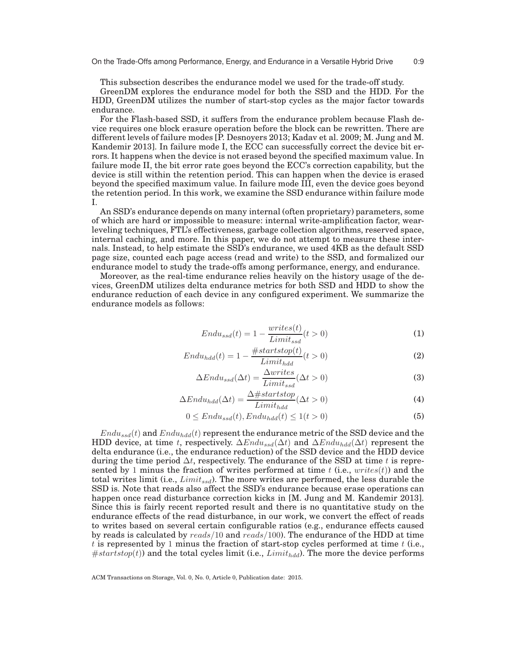This subsection describes the endurance model we used for the trade-off study.

GreenDM explores the endurance model for both the SSD and the HDD. For the HDD, GreenDM utilizes the number of start-stop cycles as the major factor towards endurance.

For the Flash-based SSD, it suffers from the endurance problem because Flash device requires one block erasure operation before the block can be rewritten. There are different levels of failure modes [P. Desnoyers 2013; Kadav et al. 2009; M. Jung and M. Kandemir 2013]. In failure mode I, the ECC can successfully correct the device bit errors. It happens when the device is not erased beyond the specified maximum value. In failure mode II, the bit error rate goes beyond the ECC's correction capability, but the device is still within the retention period. This can happen when the device is erased beyond the specified maximum value. In failure mode III, even the device goes beyond the retention period. In this work, we examine the SSD endurance within failure mode I.

An SSD's endurance depends on many internal (often proprietary) parameters, some of which are hard or impossible to measure: internal write-amplification factor, wearleveling techniques, FTL's effectiveness, garbage collection algorithms, reserved space, internal caching, and more. In this paper, we do not attempt to measure these internals. Instead, to help estimate the SSD's endurance, we used 4KB as the default SSD page size, counted each page access (read and write) to the SSD, and formalized our endurance model to study the trade-offs among performance, energy, and endurance.

Moreover, as the real-time endurance relies heavily on the history usage of the devices, GreenDM utilizes delta endurance metrics for both SSD and HDD to show the endurance reduction of each device in any configured experiment. We summarize the endurance models as follows:

$$
Endu_{ssd}(t) = 1 - \frac{writes(t)}{Limit_{ssd}}(t > 0)
$$
\n<sup>(1)</sup>

$$
Endu_{hdd}(t) = 1 - \frac{\#startstop(t)}{Limit_{hdd}}(t > 0)
$$
\n(2)

$$
\Delta End u_{ssd}(\Delta t) = \frac{\Delta writes}{Limit_{ssd}}(\Delta t > 0)
$$
\n(3)

$$
\Delta End u_{hdd}(\Delta t) = \frac{\Delta#startstop}{Limit_{hdd}}(\Delta t > 0)
$$
\n(4)

$$
0 \le End u_{ssd}(t), End u_{hdd}(t) \le 1(t > 0)
$$
\n
$$
(5)
$$

 $Endu_{ssd}(t)$  and  $Endu_{hdd}(t)$  represent the endurance metric of the SSD device and the HDD device, at time t, respectively.  $\Delta Endu_{ssd}(\Delta t)$  and  $\Delta Endu_{hdd}(\Delta t)$  represent the delta endurance (i.e., the endurance reduction) of the SSD device and the HDD device during the time period  $\Delta t$ , respectively. The endurance of the SSD at time t is represented by 1 minus the fraction of writes performed at time  $t$  (i.e.,  $writes(t)$ ) and the total writes limit (i.e.,  $Limit_{ssd}$ ). The more writes are performed, the less durable the SSD is. Note that reads also affect the SSD's endurance because erase operations can happen once read disturbance correction kicks in [M. Jung and M. Kandemir 2013]. Since this is fairly recent reported result and there is no quantitative study on the endurance effects of the read disturbance, in our work, we convert the effect of reads to writes based on several certain configurable ratios (e.g., endurance effects caused by reads is calculated by reads/10 and reads/100). The endurance of the HDD at time t is represented by 1 minus the fraction of start-stop cycles performed at time  $t$  (i.e.,  $#startstop(t))$  and the total cycles limit (i.e.,  $Limit_{hdd}$ ). The more the device performs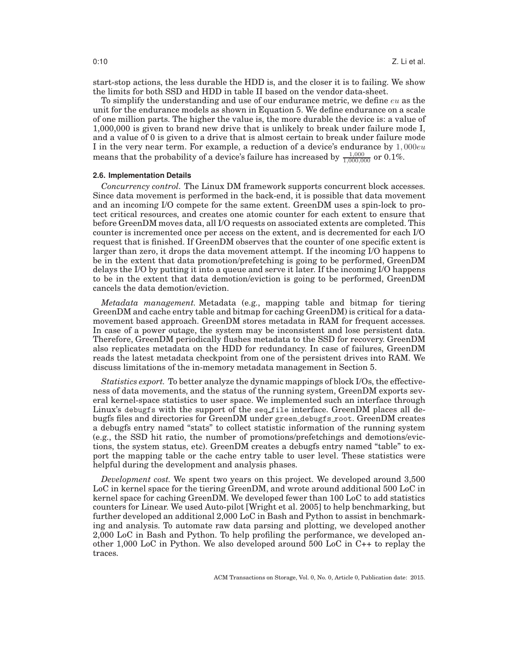start-stop actions, the less durable the HDD is, and the closer it is to failing. We show the limits for both SSD and HDD in table II based on the vendor data-sheet.

To simplify the understanding and use of our endurance metric, we define  $eu$  as the unit for the endurance models as shown in Equation 5. We define endurance on a scale of one million parts. The higher the value is, the more durable the device is: a value of 1,000,000 is given to brand new drive that is unlikely to break under failure mode I, and a value of 0 is given to a drive that is almost certain to break under failure mode I in the very near term. For example, a reduction of a device's endurance by  $1,000eu$ means that the probability of a device's failure has increased by  $\frac{1,000}{1,000,000}$  or 0.1%.

#### **2.6. Implementation Details**

*Concurrency control.* The Linux DM framework supports concurrent block accesses. Since data movement is performed in the back-end, it is possible that data movement and an incoming I/O compete for the same extent. GreenDM uses a spin-lock to protect critical resources, and creates one atomic counter for each extent to ensure that before GreenDM moves data, all I/O requests on associated extents are completed. This counter is incremented once per access on the extent, and is decremented for each I/O request that is finished. If GreenDM observes that the counter of one specific extent is larger than zero, it drops the data movement attempt. If the incoming I/O happens to be in the extent that data promotion/prefetching is going to be performed, GreenDM delays the I/O by putting it into a queue and serve it later. If the incoming I/O happens to be in the extent that data demotion/eviction is going to be performed, GreenDM cancels the data demotion/eviction.

*Metadata management.* Metadata (e.g., mapping table and bitmap for tiering GreenDM and cache entry table and bitmap for caching GreenDM) is critical for a datamovement based approach. GreenDM stores metadata in RAM for frequent accesses. In case of a power outage, the system may be inconsistent and lose persistent data. Therefore, GreenDM periodically flushes metadata to the SSD for recovery. GreenDM also replicates metadata on the HDD for redundancy. In case of failures, GreenDM reads the latest metadata checkpoint from one of the persistent drives into RAM. We discuss limitations of the in-memory metadata management in Section 5.

*Statistics export.* To better analyze the dynamic mappings of block I/Os, the effectiveness of data movements, and the status of the running system, GreenDM exports several kernel-space statistics to user space. We implemented such an interface through Linux's debugfs with the support of the seq\_file interface. GreenDM places all debugfs files and directories for GreenDM under green debugfs root. GreenDM creates a debugfs entry named "stats" to collect statistic information of the running system (e.g., the SSD hit ratio, the number of promotions/prefetchings and demotions/evictions, the system status, etc). GreenDM creates a debugfs entry named "table" to export the mapping table or the cache entry table to user level. These statistics were helpful during the development and analysis phases.

*Development cost.* We spent two years on this project. We developed around 3,500 LoC in kernel space for the tiering GreenDM, and wrote around additional 500 LoC in kernel space for caching GreenDM. We developed fewer than 100 LoC to add statistics counters for Linear. We used Auto-pilot [Wright et al. 2005] to help benchmarking, but further developed an additional 2,000 LoC in Bash and Python to assist in benchmarking and analysis. To automate raw data parsing and plotting, we developed another 2,000 LoC in Bash and Python. To help profiling the performance, we developed another 1,000 LoC in Python. We also developed around 500 LoC in C++ to replay the traces.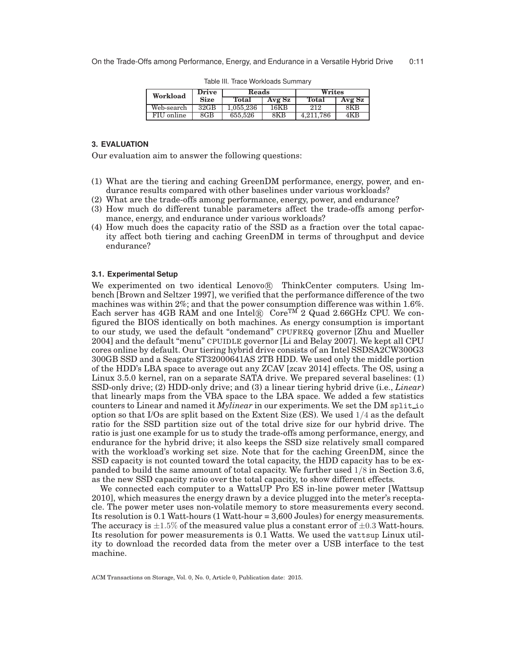| Workload   | <b>Drive</b>     | Reads     |        | Writes       |        |
|------------|------------------|-----------|--------|--------------|--------|
|            | <b>Size</b>      | Total     | Avg Sz | Total        | Avg Sz |
| Web-search | 32 <sub>GB</sub> | 1.055.236 | 16KB   | 212          | 8KB    |
| FIU online | 8GB              | 655.526   | 8KB    | 786<br>4.211 | 4KB    |

Table III. Trace Workloads Summary

# **3. EVALUATION**

Our evaluation aim to answer the following questions:

- (1) What are the tiering and caching GreenDM performance, energy, power, and endurance results compared with other baselines under various workloads?
- (2) What are the trade-offs among performance, energy, power, and endurance?
- (3) How much do different tunable parameters affect the trade-offs among performance, energy, and endurance under various workloads?
- (4) How much does the capacity ratio of the SSD as a fraction over the total capacity affect both tiering and caching GreenDM in terms of throughput and device endurance?

# **3.1. Experimental Setup**

We experimented on two identical Lenovo® ThinkCenter computers. Using lmbench [Brown and Seltzer 1997], we verified that the performance difference of the two machines was within 2%; and that the power consumption difference was within 1.6%. Each server has 4GB RAM and one  $Intel(\mathbb{R})$  Core<sup>TM</sup> 2 Quad 2.66GHz CPU. We configured the BIOS identically on both machines. As energy consumption is important to our study, we used the default "ondemand" CPUFREQ governor [Zhu and Mueller 2004] and the default "menu" CPUIDLE governor [Li and Belay 2007]. We kept all CPU cores online by default. Our tiering hybrid drive consists of an Intel SSDSA2CW300G3 300GB SSD and a Seagate ST32000641AS 2TB HDD. We used only the middle portion of the HDD's LBA space to average out any ZCAV [zcav 2014] effects. The OS, using a Linux 3.5.0 kernel, ran on a separate SATA drive. We prepared several baselines: (1) SSD-only drive; (2) HDD-only drive; and (3) a linear tiering hybrid drive (i.e., *Linear*) that linearly maps from the VBA space to the LBA space. We added a few statistics counters to Linear and named it *Mylinear* in our experiments. We set the DM split io option so that I/Os are split based on the Extent Size (ES). We used 1/4 as the default ratio for the SSD partition size out of the total drive size for our hybrid drive. The ratio is just one example for us to study the trade-offs among performance, energy, and endurance for the hybrid drive; it also keeps the SSD size relatively small compared with the workload's working set size. Note that for the caching GreenDM, since the SSD capacity is not counted toward the total capacity, the HDD capacity has to be expanded to build the same amount of total capacity. We further used 1/8 in Section 3.6, as the new SSD capacity ratio over the total capacity, to show different effects.

We connected each computer to a WattsUP Pro ES in-line power meter [Wattsup 2010], which measures the energy drawn by a device plugged into the meter's receptacle. The power meter uses non-volatile memory to store measurements every second. Its resolution is 0.1 Watt-hours (1 Watt-hour = 3,600 Joules) for energy measurements. The accuracy is  $\pm 1.5\%$  of the measured value plus a constant error of  $\pm 0.3$  Watt-hours. Its resolution for power measurements is 0.1 Watts. We used the wattsup Linux utility to download the recorded data from the meter over a USB interface to the test machine.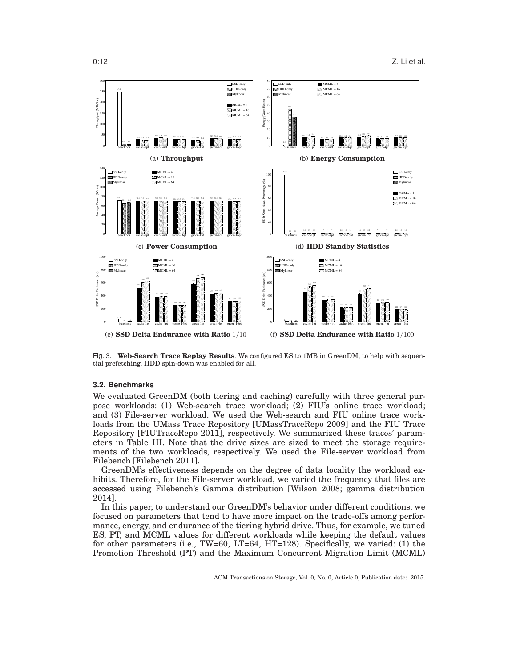

Fig. 3. **Web-Search Trace Replay Results**. We configured ES to 1MB in GreenDM, to help with sequential prefetching. HDD spin-down was enabled for all.

# **3.2. Benchmarks**

We evaluated GreenDM (both tiering and caching) carefully with three general purpose workloads: (1) Web-search trace workload; (2) FIU's online trace workload; and (3) File-server workload. We used the Web-search and FIU online trace workloads from the UMass Trace Repository [UMassTraceRepo 2009] and the FIU Trace Repository [FIUTraceRepo 2011], respectively. We summarized these traces' parameters in Table III. Note that the drive sizes are sized to meet the storage requirements of the two workloads, respectively. We used the File-server workload from Filebench [Filebench 2011].

GreenDM's effectiveness depends on the degree of data locality the workload exhibits. Therefore, for the File-server workload, we varied the frequency that files are accessed using Filebench's Gamma distribution [Wilson 2008; gamma distribution 2014].

In this paper, to understand our GreenDM's behavior under different conditions, we focused on parameters that tend to have more impact on the trade-offs among performance, energy, and endurance of the tiering hybrid drive. Thus, for example, we tuned ES, PT, and MCML values for different workloads while keeping the default values for other parameters (i.e., TW=60, LT=64, HT=128). Specifically, we varied: (1) the Promotion Threshold (PT) and the Maximum Concurrent Migration Limit (MCML)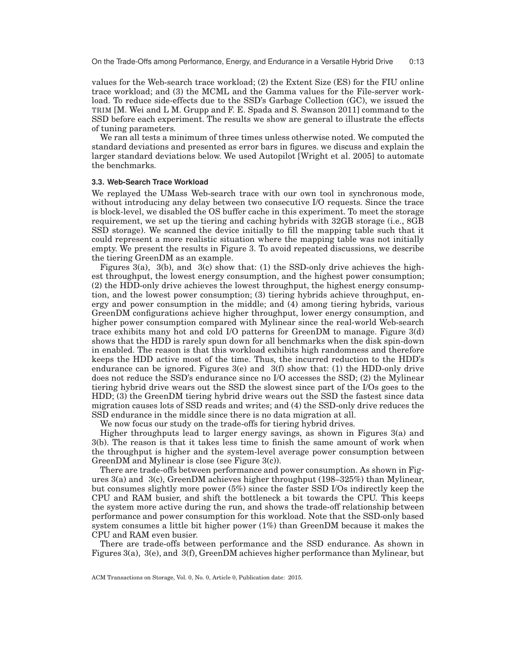values for the Web-search trace workload; (2) the Extent Size (ES) for the FIU online trace workload; and (3) the MCML and the Gamma values for the File-server workload. To reduce side-effects due to the SSD's Garbage Collection (GC), we issued the TRIM [M. Wei and L M. Grupp and F. E. Spada and S. Swanson 2011] command to the SSD before each experiment. The results we show are general to illustrate the effects of tuning parameters.

We ran all tests a minimum of three times unless otherwise noted. We computed the standard deviations and presented as error bars in figures. we discuss and explain the larger standard deviations below. We used Autopilot [Wright et al. 2005] to automate the benchmarks.

# **3.3. Web-Search Trace Workload**

We replayed the UMass Web-search trace with our own tool in synchronous mode, without introducing any delay between two consecutive I/O requests. Since the trace is block-level, we disabled the OS buffer cache in this experiment. To meet the storage requirement, we set up the tiering and caching hybrids with 32GB storage (i.e., 8GB SSD storage). We scanned the device initially to fill the mapping table such that it could represent a more realistic situation where the mapping table was not initially empty. We present the results in Figure 3. To avoid repeated discussions, we describe the tiering GreenDM as an example.

Figures 3(a), 3(b), and 3(c) show that: (1) the SSD-only drive achieves the highest throughput, the lowest energy consumption, and the highest power consumption; (2) the HDD-only drive achieves the lowest throughput, the highest energy consumption, and the lowest power consumption; (3) tiering hybrids achieve throughput, energy and power consumption in the middle; and (4) among tiering hybrids, various GreenDM configurations achieve higher throughput, lower energy consumption, and higher power consumption compared with Mylinear since the real-world Web-search trace exhibits many hot and cold I/O patterns for GreenDM to manage. Figure 3(d) shows that the HDD is rarely spun down for all benchmarks when the disk spin-down in enabled. The reason is that this workload exhibits high randomness and therefore keeps the HDD active most of the time. Thus, the incurred reduction to the HDD's endurance can be ignored. Figures 3(e) and 3(f) show that: (1) the HDD-only drive does not reduce the SSD's endurance since no I/O accesses the SSD; (2) the Mylinear tiering hybrid drive wears out the SSD the slowest since part of the I/Os goes to the HDD; (3) the GreenDM tiering hybrid drive wears out the SSD the fastest since data migration causes lots of SSD reads and writes; and (4) the SSD-only drive reduces the SSD endurance in the middle since there is no data migration at all.

We now focus our study on the trade-offs for tiering hybrid drives.

Higher throughputs lead to larger energy savings, as shown in Figures 3(a) and 3(b). The reason is that it takes less time to finish the same amount of work when the throughput is higher and the system-level average power consumption between GreenDM and Mylinear is close (see Figure 3(c)).

There are trade-offs between performance and power consumption. As shown in Figures 3(a) and 3(c), GreenDM achieves higher throughput (198–325%) than Mylinear, but consumes slightly more power (5%) since the faster SSD I/Os indirectly keep the CPU and RAM busier, and shift the bottleneck a bit towards the CPU. This keeps the system more active during the run, and shows the trade-off relationship between performance and power consumption for this workload. Note that the SSD-only based system consumes a little bit higher power (1%) than GreenDM because it makes the CPU and RAM even busier.

There are trade-offs between performance and the SSD endurance. As shown in Figures 3(a), 3(e), and 3(f), GreenDM achieves higher performance than Mylinear, but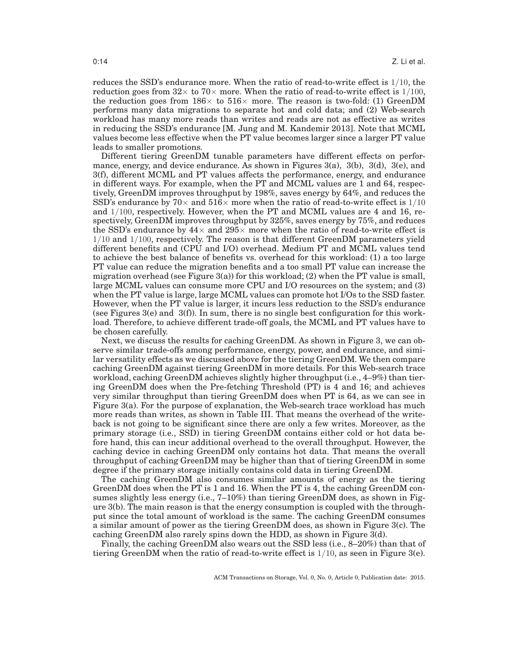reduces the SSD's endurance more. When the ratio of read-to-write effect is 1/10, the reduction goes from  $32 \times$  to  $70 \times$  more. When the ratio of read-to-write effect is  $1/100$ , the reduction goes from  $186 \times$  to  $516 \times$  more. The reason is two-fold: (1) GreenDM performs many data migrations to separate hot and cold data; and (2) Web-search workload has many more reads than writes and reads are not as effective as writes in reducing the SSD's endurance [M. Jung and M. Kandemir 2013]. Note that MCML values become less effective when the PT value becomes larger since a larger PT value leads to smaller promotions.

Different tiering GreenDM tunable parameters have different effects on performance, energy, and device endurance. As shown in Figures 3(a), 3(b), 3(d), 3(e), and 3(f), different MCML and PT values affects the performance, energy, and endurance in different ways. For example, when the PT and MCML values are 1 and 64, respectively, GreenDM improves throughput by 198%, saves energy by 64%, and reduces the SSD's endurance by  $70\times$  and  $516\times$  more when the ratio of read-to-write effect is  $1/10$ and 1/100, respectively. However, when the PT and MCML values are 4 and 16, respectively, GreenDM improves throughput by 325%, saves energy by 75%, and reduces the SSD's endurance by  $44\times$  and  $295\times$  more when the ratio of read-to-write effect is  $1/10$  and  $1/100$ , respectively. The reason is that different GreenDM parameters yield different benefits and (CPU and I/O) overhead. Medium PT and MCML values tend to achieve the best balance of benefits vs. overhead for this workload: (1) a too large PT value can reduce the migration benefits and a too small PT value can increase the migration overhead (see Figure 3(a)) for this workload; (2) when the PT value is small, large MCML values can consume more CPU and I/O resources on the system; and (3) when the PT value is large, large MCML values can promote hot I/Os to the SSD faster. However, when the PT value is larger, it incurs less reduction to the SSD's endurance (see Figures  $3(e)$  and  $3(f)$ ). In sum, there is no single best configuration for this workload. Therefore, to achieve different trade-off goals, the MCML and PT values have to be chosen carefully.

Next, we discuss the results for caching GreenDM. As shown in Figure 3, we can observe similar trade-offs among performance, energy, power, and endurance, and similar versatility effects as we discussed above for the tiering GreenDM. We then compare caching GreenDM against tiering GreenDM in more details. For this Web-search trace workload, caching GreenDM achieves slightly higher throughput (i.e., 4–9%) than tiering GreenDM does when the Pre-fetching Threshold (PT) is 4 and 16; and achieves very similar throughput than tiering GreenDM does when PT is 64, as we can see in Figure 3(a). For the purpose of explanation, the Web-search trace workload has much more reads than writes, as shown in Table III. That means the overhead of the writeback is not going to be significant since there are only a few writes. Moreover, as the primary storage (i.e., SSD) in tiering GreenDM contains either cold or hot data before hand, this can incur additional overhead to the overall throughput. However, the caching device in caching GreenDM only contains hot data. That means the overall throughput of caching GreenDM may be higher than that of tiering GreenDM in some degree if the primary storage initially contains cold data in tiering GreenDM.

The caching GreenDM also consumes similar amounts of energy as the tiering GreenDM does when the PT is 1 and 16. When the PT is 4, the caching GreenDM consumes slightly less energy (i.e., 7–10%) than tiering GreenDM does, as shown in Figure 3(b). The main reason is that the energy consumption is coupled with the throughput since the total amount of workload is the same. The caching GreenDM consumes a similar amount of power as the tiering GreenDM does, as shown in Figure 3(c). The caching GreenDM also rarely spins down the HDD, as shown in Figure  $3(d)$ .

Finally, the caching GreenDM also wears out the SSD less (i.e.,  $8-20\%$ ) than that of tiering GreenDM when the ratio of read-to-write effect is  $1/10$ , as seen in Figure 3(e).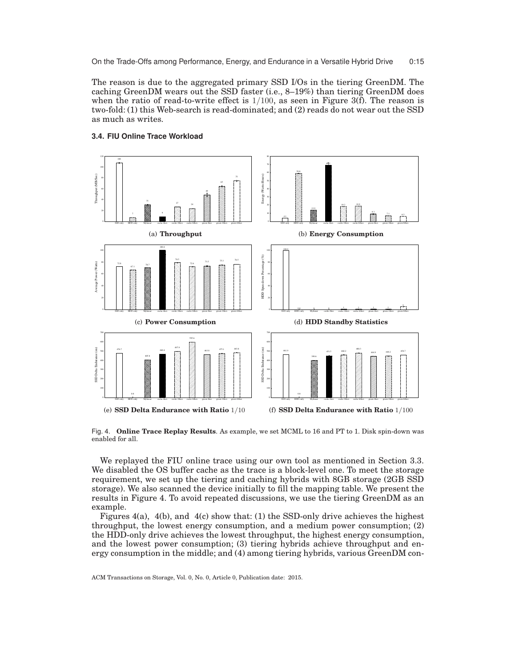On the Trade-Offs among Performance, Energy, and Endurance in a Versatile Hybrid Drive 0:15

The reason is due to the aggregated primary SSD I/Os in the tiering GreenDM. The caching GreenDM wears out the SSD faster (i.e., 8–19%) than tiering GreenDM does when the ratio of read-to-write effect is  $1/100$ , as seen in Figure 3(f). The reason is two-fold: (1) this Web-search is read-dominated; and (2) reads do not wear out the SSD as much as writes.



# **3.4. FIU Online Trace Workload**

Fig. 4. **Online Trace Replay Results**. As example, we set MCML to 16 and PT to 1. Disk spin-down was enabled for all.

We replayed the FIU online trace using our own tool as mentioned in Section 3.3. We disabled the OS buffer cache as the trace is a block-level one. To meet the storage requirement, we set up the tiering and caching hybrids with 8GB storage (2GB SSD storage). We also scanned the device initially to fill the mapping table. We present the results in Figure 4. To avoid repeated discussions, we use the tiering GreenDM as an example.

Figures  $4(a)$ ,  $4(b)$ , and  $4(c)$  show that: (1) the SSD-only drive achieves the highest throughput, the lowest energy consumption, and a medium power consumption; (2) the HDD-only drive achieves the lowest throughput, the highest energy consumption, and the lowest power consumption; (3) tiering hybrids achieve throughput and energy consumption in the middle; and (4) among tiering hybrids, various GreenDM con-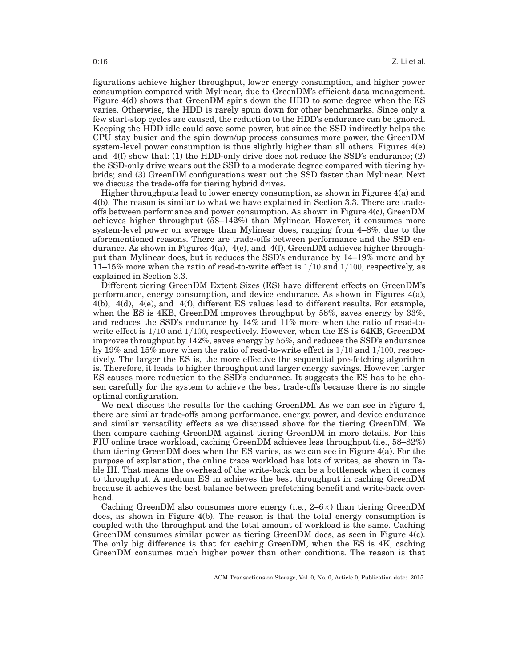figurations achieve higher throughput, lower energy consumption, and higher power consumption compared with Mylinear, due to GreenDM's efficient data management. Figure 4(d) shows that GreenDM spins down the HDD to some degree when the ES varies. Otherwise, the HDD is rarely spun down for other benchmarks. Since only a few start-stop cycles are caused, the reduction to the HDD's endurance can be ignored. Keeping the HDD idle could save some power, but since the SSD indirectly helps the CPU stay busier and the spin down/up process consumes more power, the GreenDM system-level power consumption is thus slightly higher than all others. Figures 4(e) and 4(f) show that: (1) the HDD-only drive does not reduce the SSD's endurance; (2) the SSD-only drive wears out the SSD to a moderate degree compared with tiering hybrids; and (3) GreenDM configurations wear out the SSD faster than Mylinear. Next we discuss the trade-offs for tiering hybrid drives.

Higher throughputs lead to lower energy consumption, as shown in Figures 4(a) and 4(b). The reason is similar to what we have explained in Section 3.3. There are tradeoffs between performance and power consumption. As shown in Figure 4(c), GreenDM achieves higher throughput (58–142%) than Mylinear. However, it consumes more system-level power on average than Mylinear does, ranging from 4–8%, due to the aforementioned reasons. There are trade-offs between performance and the SSD endurance. As shown in Figures  $4(a)$ ,  $4(e)$ , and  $4(f)$ , GreenDM achieves higher throughput than Mylinear does, but it reduces the SSD's endurance by 14–19% more and by 11–15% more when the ratio of read-to-write effect is  $1/10$  and  $1/100$ , respectively, as explained in Section 3.3.

Different tiering GreenDM Extent Sizes (ES) have different effects on GreenDM's performance, energy consumption, and device endurance. As shown in Figures 4(a), 4(b), 4(d), 4(e), and 4(f), different ES values lead to different results. For example, when the ES is 4KB, GreenDM improves throughput by 58%, saves energy by 33%, and reduces the SSD's endurance by 14% and 11% more when the ratio of read-towrite effect is  $1/10$  and  $1/100$ , respectively. However, when the ES is 64KB, GreenDM improves throughput by 142%, saves energy by 55%, and reduces the SSD's endurance by 19% and 15% more when the ratio of read-to-write effect is  $1/10$  and  $1/100$ , respectively. The larger the ES is, the more effective the sequential pre-fetching algorithm is. Therefore, it leads to higher throughput and larger energy savings. However, larger ES causes more reduction to the SSD's endurance. It suggests the ES has to be chosen carefully for the system to achieve the best trade-offs because there is no single optimal configuration.

We next discuss the results for the caching GreenDM. As we can see in Figure 4, there are similar trade-offs among performance, energy, power, and device endurance and similar versatility effects as we discussed above for the tiering GreenDM. We then compare caching GreenDM against tiering GreenDM in more details. For this FIU online trace workload, caching GreenDM achieves less throughput (i.e., 58–82%) than tiering GreenDM does when the ES varies, as we can see in Figure 4(a). For the purpose of explanation, the online trace workload has lots of writes, as shown in Table III. That means the overhead of the write-back can be a bottleneck when it comes to throughput. A medium ES in achieves the best throughput in caching GreenDM because it achieves the best balance between prefetching benefit and write-back overhead.

Caching GreenDM also consumes more energy (i.e.,  $2-6\times$ ) than tiering GreenDM does, as shown in Figure 4(b). The reason is that the total energy consumption is coupled with the throughput and the total amount of workload is the same. Caching GreenDM consumes similar power as tiering GreenDM does, as seen in Figure 4(c). The only big difference is that for caching GreenDM, when the ES is 4K, caching GreenDM consumes much higher power than other conditions. The reason is that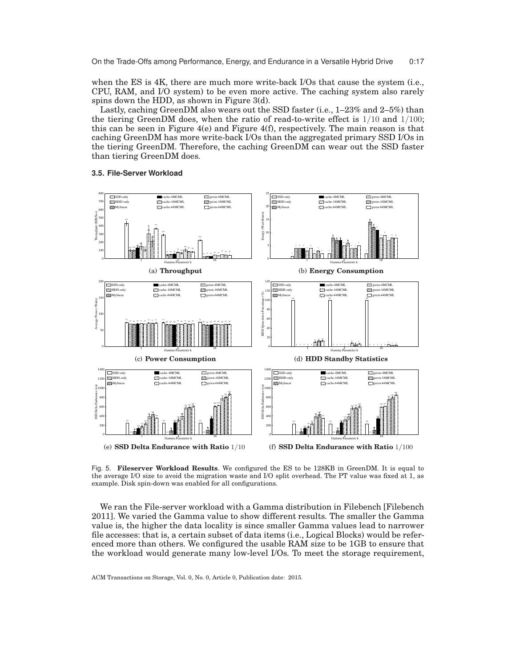when the ES is 4K, there are much more write-back I/Os that cause the system (i.e., CPU, RAM, and I/O system) to be even more active. The caching system also rarely spins down the HDD, as shown in Figure 3(d).

Lastly, caching GreenDM also wears out the SSD faster (i.e., 1–23% and 2–5%) than the tiering GreenDM does, when the ratio of read-to-write effect is  $1/10$  and  $1/100$ ; this can be seen in Figure  $4(e)$  and Figure  $4(f)$ , respectively. The main reason is that caching GreenDM has more write-back I/Os than the aggregated primary SSD I/Os in the tiering GreenDM. Therefore, the caching GreenDM can wear out the SSD faster than tiering GreenDM does.

### **3.5. File-Server Workload**



Fig. 5. **Fileserver Workload Results**. We configured the ES to be 128KB in GreenDM. It is equal to the average I/O size to avoid the migration waste and I/O split overhead. The PT value was fixed at 1, as example. Disk spin-down was enabled for all configurations.

We ran the File-server workload with a Gamma distribution in Filebench [Filebench 2011]. We varied the Gamma value to show different results. The smaller the Gamma value is, the higher the data locality is since smaller Gamma values lead to narrower file accesses: that is, a certain subset of data items (i.e., Logical Blocks) would be referenced more than others. We configured the usable RAM size to be 1GB to ensure that the workload would generate many low-level I/Os. To meet the storage requirement,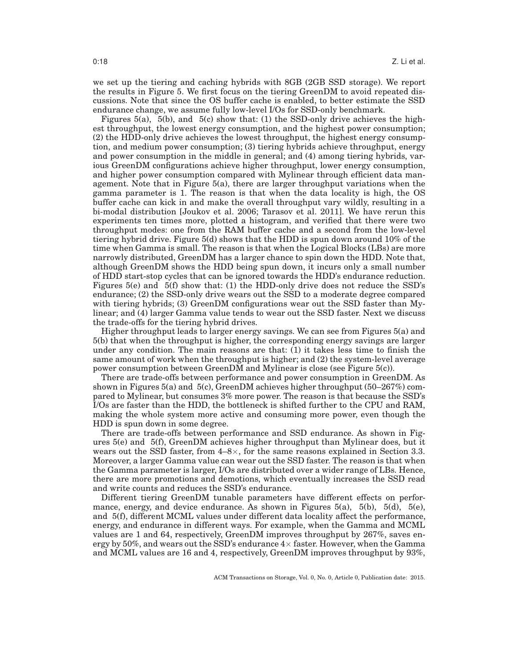we set up the tiering and caching hybrids with 8GB (2GB SSD storage). We report the results in Figure 5. We first focus on the tiering GreenDM to avoid repeated discussions. Note that since the OS buffer cache is enabled, to better estimate the SSD endurance change, we assume fully low-level I/Os for SSD-only benchmark.

Figures 5(a), 5(b), and 5(c) show that: (1) the SSD-only drive achieves the highest throughput, the lowest energy consumption, and the highest power consumption; (2) the HDD-only drive achieves the lowest throughput, the highest energy consumption, and medium power consumption; (3) tiering hybrids achieve throughput, energy and power consumption in the middle in general; and (4) among tiering hybrids, various GreenDM configurations achieve higher throughput, lower energy consumption, and higher power consumption compared with Mylinear through efficient data management. Note that in Figure 5(a), there are larger throughput variations when the gamma parameter is 1. The reason is that when the data locality is high, the OS buffer cache can kick in and make the overall throughput vary wildly, resulting in a bi-modal distribution [Joukov et al. 2006; Tarasov et al. 2011]. We have rerun this experiments ten times more, plotted a histogram, and verified that there were two throughput modes: one from the RAM buffer cache and a second from the low-level tiering hybrid drive. Figure 5(d) shows that the HDD is spun down around 10% of the time when Gamma is small. The reason is that when the Logical Blocks (LBs) are more narrowly distributed, GreenDM has a larger chance to spin down the HDD. Note that, although GreenDM shows the HDD being spun down, it incurs only a small number of HDD start-stop cycles that can be ignored towards the HDD's endurance reduction. Figures 5(e) and 5(f) show that: (1) the HDD-only drive does not reduce the SSD's endurance; (2) the SSD-only drive wears out the SSD to a moderate degree compared with tiering hybrids; (3) GreenDM configurations wear out the SSD faster than Mylinear; and (4) larger Gamma value tends to wear out the SSD faster. Next we discuss the trade-offs for the tiering hybrid drives.

Higher throughput leads to larger energy savings. We can see from Figures 5(a) and 5(b) that when the throughput is higher, the corresponding energy savings are larger under any condition. The main reasons are that: (1) it takes less time to finish the same amount of work when the throughput is higher; and (2) the system-level average power consumption between GreenDM and Mylinear is close (see Figure 5(c)).

There are trade-offs between performance and power consumption in GreenDM. As shown in Figures  $5(a)$  and  $5(c)$ , GreenDM achieves higher throughput  $(50-267%)$  compared to Mylinear, but consumes 3% more power. The reason is that because the SSD's I/Os are faster than the HDD, the bottleneck is shifted further to the CPU and RAM, making the whole system more active and consuming more power, even though the HDD is spun down in some degree.

There are trade-offs between performance and SSD endurance. As shown in Figures 5(e) and 5(f), GreenDM achieves higher throughput than Mylinear does, but it wears out the SSD faster, from  $4-8\times$ , for the same reasons explained in Section 3.3. Moreover, a larger Gamma value can wear out the SSD faster. The reason is that when the Gamma parameter is larger, I/Os are distributed over a wider range of LBs. Hence, there are more promotions and demotions, which eventually increases the SSD read and write counts and reduces the SSD's endurance.

Different tiering GreenDM tunable parameters have different effects on performance, energy, and device endurance. As shown in Figures 5(a), 5(b), 5(d), 5(e), and 5(f), different MCML values under different data locality affect the performance, energy, and endurance in different ways. For example, when the Gamma and MCML values are 1 and 64, respectively, GreenDM improves throughput by 267%, saves energy by 50%, and wears out the SSD's endurance  $4\times$  faster. However, when the Gamma and MCML values are 16 and 4, respectively, GreenDM improves throughput by 93%,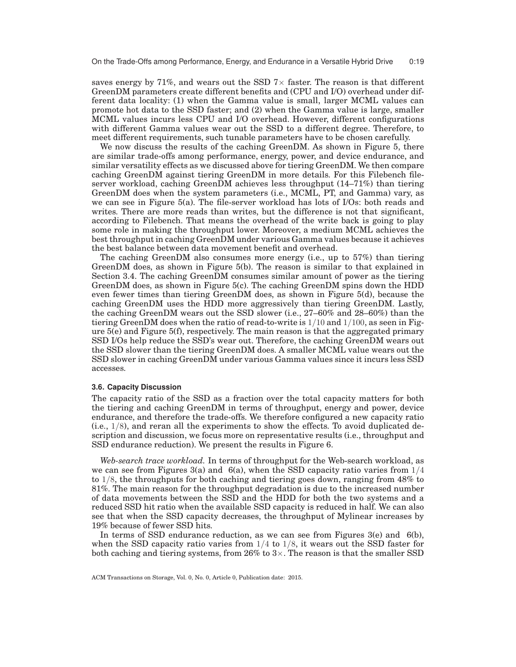saves energy by 71%, and wears out the SSD  $7\times$  faster. The reason is that different GreenDM parameters create different benefits and (CPU and I/O) overhead under different data locality: (1) when the Gamma value is small, larger MCML values can promote hot data to the SSD faster; and (2) when the Gamma value is large, smaller MCML values incurs less CPU and I/O overhead. However, different configurations with different Gamma values wear out the SSD to a different degree. Therefore, to meet different requirements, such tunable parameters have to be chosen carefully.

We now discuss the results of the caching GreenDM. As shown in Figure 5, there are similar trade-offs among performance, energy, power, and device endurance, and similar versatility effects as we discussed above for tiering GreenDM. We then compare caching GreenDM against tiering GreenDM in more details. For this Filebench fileserver workload, caching GreenDM achieves less throughput (14–71%) than tiering GreenDM does when the system parameters (i.e., MCML, PT, and Gamma) vary, as we can see in Figure 5(a). The file-server workload has lots of I/Os: both reads and writes. There are more reads than writes, but the difference is not that significant, according to Filebench. That means the overhead of the write back is going to play some role in making the throughput lower. Moreover, a medium MCML achieves the best throughput in caching GreenDM under various Gamma values because it achieves the best balance between data movement benefit and overhead.

The caching GreenDM also consumes more energy (i.e., up to 57%) than tiering GreenDM does, as shown in Figure 5(b). The reason is similar to that explained in Section 3.4. The caching GreenDM consumes similar amount of power as the tiering GreenDM does, as shown in Figure 5(c). The caching GreenDM spins down the HDD even fewer times than tiering GreenDM does, as shown in Figure 5(d), because the caching GreenDM uses the HDD more aggressively than tiering GreenDM. Lastly, the caching GreenDM wears out the SSD slower (i.e., 27–60% and 28–60%) than the tiering GreenDM does when the ratio of read-to-write is  $1/10$  and  $1/100$ , as seen in Figure 5(e) and Figure 5(f), respectively. The main reason is that the aggregated primary SSD I/Os help reduce the SSD's wear out. Therefore, the caching GreenDM wears out the SSD slower than the tiering GreenDM does. A smaller MCML value wears out the SSD slower in caching GreenDM under various Gamma values since it incurs less SSD accesses.

### **3.6. Capacity Discussion**

The capacity ratio of the SSD as a fraction over the total capacity matters for both the tiering and caching GreenDM in terms of throughput, energy and power, device endurance, and therefore the trade-offs. We therefore configured a new capacity ratio  $(i.e., 1/8)$ , and reran all the experiments to show the effects. To avoid duplicated description and discussion, we focus more on representative results (i.e., throughput and SSD endurance reduction). We present the results in Figure 6.

*Web-search trace workload.* In terms of throughput for the Web-search workload, as we can see from Figures 3(a) and 6(a), when the SSD capacity ratio varies from  $1/4$ to 1/8, the throughputs for both caching and tiering goes down, ranging from 48% to 81%. The main reason for the throughput degradation is due to the increased number of data movements between the SSD and the HDD for both the two systems and a reduced SSD hit ratio when the available SSD capacity is reduced in half. We can also see that when the SSD capacity decreases, the throughput of Mylinear increases by 19% because of fewer SSD hits.

In terms of SSD endurance reduction, as we can see from Figures 3(e) and 6(b), when the SSD capacity ratio varies from  $1/4$  to  $1/8$ , it wears out the SSD faster for both caching and tiering systems, from 26% to  $3\times$ . The reason is that the smaller SSD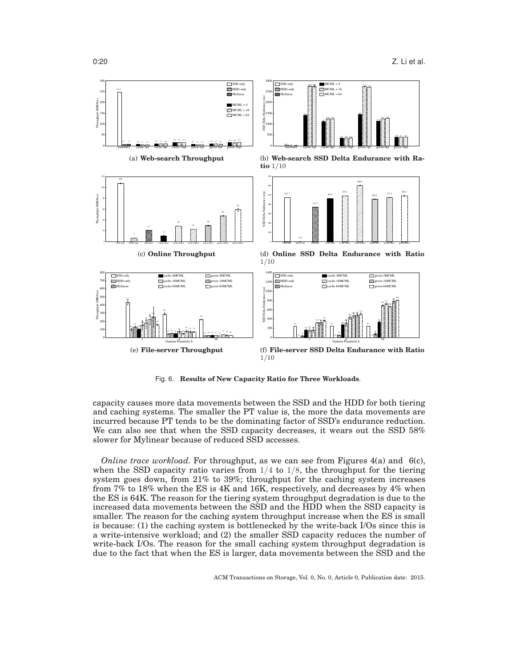

Fig. 6. **Results of New Capacity Ratio for Three Workloads**.

capacity causes more data movements between the SSD and the HDD for both tiering and caching systems. The smaller the PT value is, the more the data movements are incurred because PT tends to be the dominating factor of SSD's endurance reduction. We can also see that when the SSD capacity decreases, it wears out the SSD 58% slower for Mylinear because of reduced SSD accesses.

*Online trace workload.* For throughput, as we can see from Figures 4(a) and 6(c), when the SSD capacity ratio varies from  $1/4$  to  $1/8$ , the throughput for the tiering system goes down, from 21% to 39%; throughput for the caching system increases from 7% to 18% when the ES is 4K and 16K, respectively, and decreases by 4% when the ES is 64K. The reason for the tiering system throughput degradation is due to the increased data movements between the SSD and the HDD when the SSD capacity is smaller. The reason for the caching system throughput increase when the ES is small is because: (1) the caching system is bottlenecked by the write-back I/Os since this is a write-intensive workload; and (2) the smaller SSD capacity reduces the number of write-back I/Os. The reason for the small caching system throughput degradation is due to the fact that when the ES is larger, data movements between the SSD and the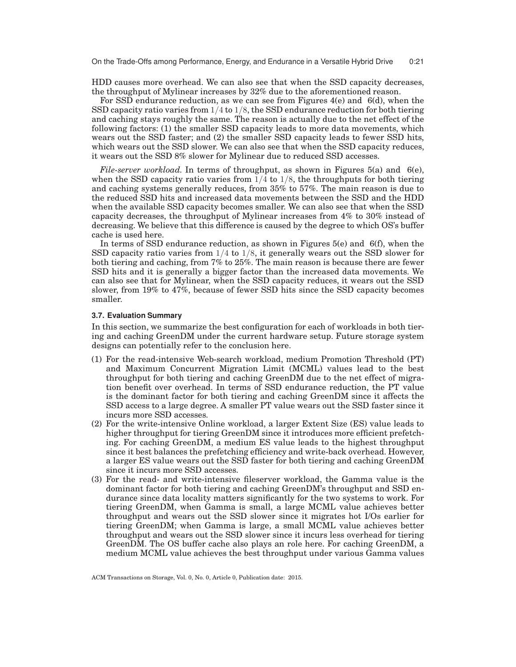On the Trade-Offs among Performance, Energy, and Endurance in a Versatile Hybrid Drive 0:21

HDD causes more overhead. We can also see that when the SSD capacity decreases, the throughput of Mylinear increases by 32% due to the aforementioned reason.

For SSD endurance reduction, as we can see from Figures 4(e) and 6(d), when the SSD capacity ratio varies from 1/4 to 1/8, the SSD endurance reduction for both tiering and caching stays roughly the same. The reason is actually due to the net effect of the following factors: (1) the smaller SSD capacity leads to more data movements, which wears out the SSD faster; and (2) the smaller SSD capacity leads to fewer SSD hits, which wears out the SSD slower. We can also see that when the SSD capacity reduces, it wears out the SSD 8% slower for Mylinear due to reduced SSD accesses.

*File-server workload.* In terms of throughput, as shown in Figures 5(a) and 6(e), when the SSD capacity ratio varies from  $1/4$  to  $1/8$ , the throughputs for both tiering and caching systems generally reduces, from 35% to 57%. The main reason is due to the reduced SSD hits and increased data movements between the SSD and the HDD when the available SSD capacity becomes smaller. We can also see that when the SSD capacity decreases, the throughput of Mylinear increases from 4% to 30% instead of decreasing. We believe that this difference is caused by the degree to which OS's buffer cache is used here.

In terms of SSD endurance reduction, as shown in Figures 5(e) and 6(f), when the SSD capacity ratio varies from 1/4 to 1/8, it generally wears out the SSD slower for both tiering and caching, from 7% to 25%. The main reason is because there are fewer SSD hits and it is generally a bigger factor than the increased data movements. We can also see that for Mylinear, when the SSD capacity reduces, it wears out the SSD slower, from 19% to 47%, because of fewer SSD hits since the SSD capacity becomes smaller.

## **3.7. Evaluation Summary**

In this section, we summarize the best configuration for each of workloads in both tiering and caching GreenDM under the current hardware setup. Future storage system designs can potentially refer to the conclusion here.

- (1) For the read-intensive Web-search workload, medium Promotion Threshold (PT) and Maximum Concurrent Migration Limit (MCML) values lead to the best throughput for both tiering and caching GreenDM due to the net effect of migration benefit over overhead. In terms of SSD endurance reduction, the PT value is the dominant factor for both tiering and caching GreenDM since it affects the SSD access to a large degree. A smaller PT value wears out the SSD faster since it incurs more SSD accesses.
- (2) For the write-intensive Online workload, a larger Extent Size (ES) value leads to higher throughput for tiering GreenDM since it introduces more efficient prefetching. For caching GreenDM, a medium ES value leads to the highest throughput since it best balances the prefetching efficiency and write-back overhead. However, a larger ES value wears out the SSD faster for both tiering and caching GreenDM since it incurs more SSD accesses.
- (3) For the read- and write-intensive fileserver workload, the Gamma value is the dominant factor for both tiering and caching GreenDM's throughput and SSD endurance since data locality matters significantly for the two systems to work. For tiering GreenDM, when Gamma is small, a large MCML value achieves better throughput and wears out the SSD slower since it migrates hot I/Os earlier for tiering GreenDM; when Gamma is large, a small MCML value achieves better throughput and wears out the SSD slower since it incurs less overhead for tiering GreenDM. The OS buffer cache also plays an role here. For caching GreenDM, a medium MCML value achieves the best throughput under various Gamma values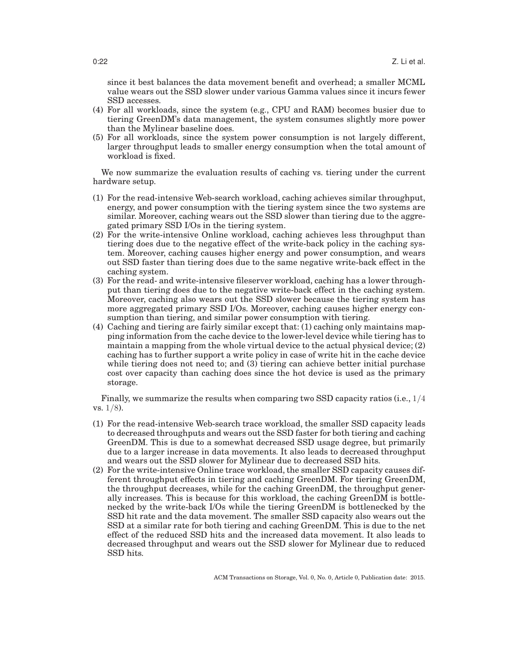since it best balances the data movement benefit and overhead; a smaller MCML value wears out the SSD slower under various Gamma values since it incurs fewer SSD accesses.

- (4) For all workloads, since the system (e.g., CPU and RAM) becomes busier due to tiering GreenDM's data management, the system consumes slightly more power than the Mylinear baseline does.
- (5) For all workloads, since the system power consumption is not largely different, larger throughput leads to smaller energy consumption when the total amount of workload is fixed.

We now summarize the evaluation results of caching vs. tiering under the current hardware setup.

- (1) For the read-intensive Web-search workload, caching achieves similar throughput, energy, and power consumption with the tiering system since the two systems are similar. Moreover, caching wears out the SSD slower than tiering due to the aggregated primary SSD I/Os in the tiering system.
- (2) For the write-intensive Online workload, caching achieves less throughput than tiering does due to the negative effect of the write-back policy in the caching system. Moreover, caching causes higher energy and power consumption, and wears out SSD faster than tiering does due to the same negative write-back effect in the caching system.
- (3) For the read- and write-intensive fileserver workload, caching has a lower throughput than tiering does due to the negative write-back effect in the caching system. Moreover, caching also wears out the SSD slower because the tiering system has more aggregated primary SSD I/Os. Moreover, caching causes higher energy consumption than tiering, and similar power consumption with tiering.
- (4) Caching and tiering are fairly similar except that: (1) caching only maintains mapping information from the cache device to the lower-level device while tiering has to maintain a mapping from the whole virtual device to the actual physical device; (2) caching has to further support a write policy in case of write hit in the cache device while tiering does not need to; and (3) tiering can achieve better initial purchase cost over capacity than caching does since the hot device is used as the primary storage.

Finally, we summarize the results when comparing two SSD capacity ratios (i.e.,  $1/4$ vs.  $1/8$ ).

- (1) For the read-intensive Web-search trace workload, the smaller SSD capacity leads to decreased throughputs and wears out the SSD faster for both tiering and caching GreenDM. This is due to a somewhat decreased SSD usage degree, but primarily due to a larger increase in data movements. It also leads to decreased throughput and wears out the SSD slower for Mylinear due to decreased SSD hits.
- (2) For the write-intensive Online trace workload, the smaller SSD capacity causes different throughput effects in tiering and caching GreenDM. For tiering GreenDM, the throughput decreases, while for the caching GreenDM, the throughput generally increases. This is because for this workload, the caching GreenDM is bottlenecked by the write-back I/Os while the tiering GreenDM is bottlenecked by the SSD hit rate and the data movement. The smaller SSD capacity also wears out the SSD at a similar rate for both tiering and caching GreenDM. This is due to the net effect of the reduced SSD hits and the increased data movement. It also leads to decreased throughput and wears out the SSD slower for Mylinear due to reduced SSD hits.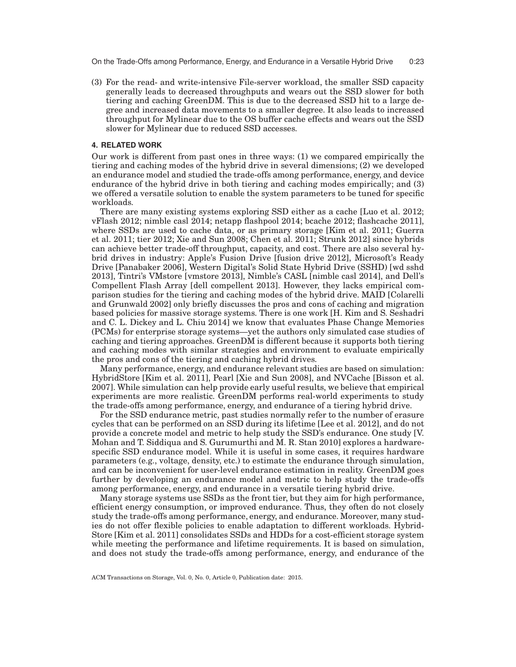On the Trade-Offs among Performance, Energy, and Endurance in a Versatile Hybrid Drive 0:23

(3) For the read- and write-intensive File-server workload, the smaller SSD capacity generally leads to decreased throughputs and wears out the SSD slower for both tiering and caching GreenDM. This is due to the decreased SSD hit to a large degree and increased data movements to a smaller degree. It also leads to increased throughput for Mylinear due to the OS buffer cache effects and wears out the SSD slower for Mylinear due to reduced SSD accesses.

### **4. RELATED WORK**

Our work is different from past ones in three ways: (1) we compared empirically the tiering and caching modes of the hybrid drive in several dimensions; (2) we developed an endurance model and studied the trade-offs among performance, energy, and device endurance of the hybrid drive in both tiering and caching modes empirically; and (3) we offered a versatile solution to enable the system parameters to be tuned for specific workloads.

There are many existing systems exploring SSD either as a cache [Luo et al. 2012; vFlash 2012; nimble casl 2014; netapp flashpool 2014; bcache 2012; flashcache 2011], where SSDs are used to cache data, or as primary storage [Kim et al. 2011; Guerra et al. 2011; tier 2012; Xie and Sun 2008; Chen et al. 2011; Strunk 2012] since hybrids can achieve better trade-off throughput, capacity, and cost. There are also several hybrid drives in industry: Apple's Fusion Drive [fusion drive 2012], Microsoft's Ready Drive [Panabaker 2006], Western Digital's Solid State Hybrid Drive (SSHD) [wd sshd 2013], Tintri's VMstore [vmstore 2013], Nimble's CASL [nimble casl 2014], and Dell's Compellent Flash Array [dell compellent 2013]. However, they lacks empirical comparison studies for the tiering and caching modes of the hybrid drive. MAID [Colarelli and Grunwald 2002] only briefly discusses the pros and cons of caching and migration based policies for massive storage systems. There is one work [H. Kim and S. Seshadri and C. L. Dickey and L. Chiu 2014] we know that evaluates Phase Change Memories (PCMs) for enterprise storage systems—yet the authors only simulated case studies of caching and tiering approaches. GreenDM is different because it supports both tiering and caching modes with similar strategies and environment to evaluate empirically the pros and cons of the tiering and caching hybrid drives.

Many performance, energy, and endurance relevant studies are based on simulation: HybridStore [Kim et al. 2011], Pearl [Xie and Sun 2008], and NVCache [Bisson et al. 2007]. While simulation can help provide early useful results, we believe that empirical experiments are more realistic. GreenDM performs real-world experiments to study the trade-offs among performance, energy, and endurance of a tiering hybrid drive.

For the SSD endurance metric, past studies normally refer to the number of erasure cycles that can be performed on an SSD during its lifetime [Lee et al. 2012], and do not provide a concrete model and metric to help study the SSD's endurance. One study [V. Mohan and T. Siddiqua and S. Gurumurthi and M. R. Stan 2010] explores a hardwarespecific SSD endurance model. While it is useful in some cases, it requires hardware parameters (e.g., voltage, density, etc.) to estimate the endurance through simulation, and can be inconvenient for user-level endurance estimation in reality. GreenDM goes further by developing an endurance model and metric to help study the trade-offs among performance, energy, and endurance in a versatile tiering hybrid drive.

Many storage systems use SSDs as the front tier, but they aim for high performance, efficient energy consumption, or improved endurance. Thus, they often do not closely study the trade-offs among performance, energy, and endurance. Moreover, many studies do not offer flexible policies to enable adaptation to different workloads. Hybrid-Store [Kim et al. 2011] consolidates SSDs and HDDs for a cost-efficient storage system while meeting the performance and lifetime requirements. It is based on simulation, and does not study the trade-offs among performance, energy, and endurance of the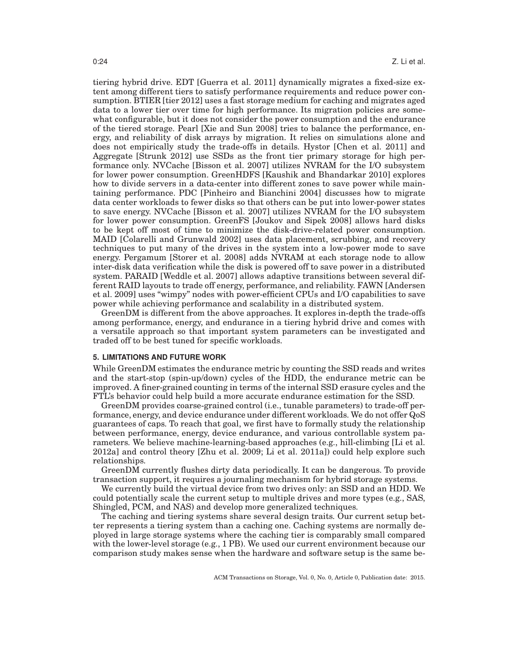tiering hybrid drive. EDT [Guerra et al. 2011] dynamically migrates a fixed-size extent among different tiers to satisfy performance requirements and reduce power consumption. BTIER [tier 2012] uses a fast storage medium for caching and migrates aged data to a lower tier over time for high performance. Its migration policies are somewhat configurable, but it does not consider the power consumption and the endurance of the tiered storage. Pearl [Xie and Sun 2008] tries to balance the performance, energy, and reliability of disk arrays by migration. It relies on simulations alone and does not empirically study the trade-offs in details. Hystor [Chen et al. 2011] and Aggregate [Strunk 2012] use SSDs as the front tier primary storage for high performance only. NVCache [Bisson et al. 2007] utilizes NVRAM for the I/O subsystem for lower power consumption. GreenHDFS [Kaushik and Bhandarkar 2010] explores how to divide servers in a data-center into different zones to save power while maintaining performance. PDC [Pinheiro and Bianchini 2004] discusses how to migrate data center workloads to fewer disks so that others can be put into lower-power states to save energy. NVCache [Bisson et al. 2007] utilizes NVRAM for the I/O subsystem for lower power consumption. GreenFS [Joukov and Sipek 2008] allows hard disks to be kept off most of time to minimize the disk-drive-related power consumption. MAID [Colarelli and Grunwald 2002] uses data placement, scrubbing, and recovery techniques to put many of the drives in the system into a low-power mode to save energy. Pergamum [Storer et al. 2008] adds NVRAM at each storage node to allow inter-disk data verification while the disk is powered off to save power in a distributed system. PARAID [Weddle et al. 2007] allows adaptive transitions between several different RAID layouts to trade off energy, performance, and reliability. FAWN [Andersen et al. 2009] uses "wimpy" nodes with power-efficient CPUs and I/O capabilities to save power while achieving performance and scalability in a distributed system.

GreenDM is different from the above approaches. It explores in-depth the trade-offs among performance, energy, and endurance in a tiering hybrid drive and comes with a versatile approach so that important system parameters can be investigated and traded off to be best tuned for specific workloads.

### **5. LIMITATIONS AND FUTURE WORK**

While GreenDM estimates the endurance metric by counting the SSD reads and writes and the start-stop (spin-up/down) cycles of the HDD, the endurance metric can be improved. A finer-grained counting in terms of the internal SSD erasure cycles and the FTL's behavior could help build a more accurate endurance estimation for the SSD.

GreenDM provides coarse-grained control (i.e., tunable parameters) to trade-off performance, energy, and device endurance under different workloads. We do not offer QoS guarantees of caps. To reach that goal, we first have to formally study the relationship between performance, energy, device endurance, and various controllable system parameters. We believe machine-learning-based approaches (e.g., hill-climbing [Li et al. 2012a] and control theory [Zhu et al. 2009; Li et al. 2011a]) could help explore such relationships.

GreenDM currently flushes dirty data periodically. It can be dangerous. To provide transaction support, it requires a journaling mechanism for hybrid storage systems.

We currently build the virtual device from two drives only: an SSD and an HDD. We could potentially scale the current setup to multiple drives and more types (e.g., SAS, Shingled, PCM, and NAS) and develop more generalized techniques.

The caching and tiering systems share several design traits. Our current setup better represents a tiering system than a caching one. Caching systems are normally deployed in large storage systems where the caching tier is comparably small compared with the lower-level storage (e.g., 1 PB). We used our current environment because our comparison study makes sense when the hardware and software setup is the same be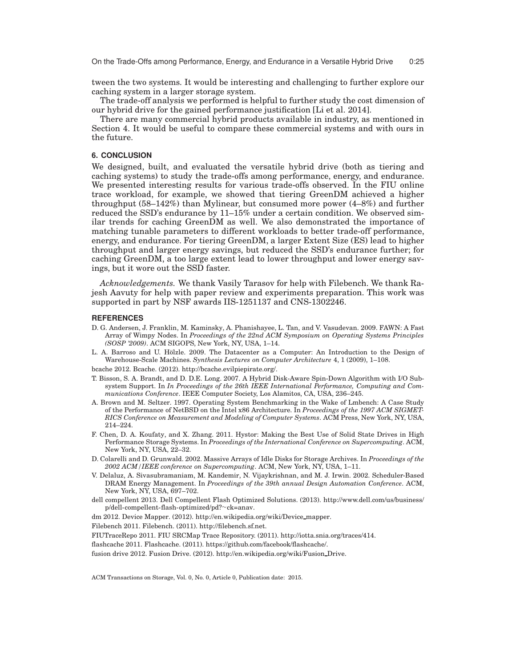tween the two systems. It would be interesting and challenging to further explore our caching system in a larger storage system.

The trade-off analysis we performed is helpful to further study the cost dimension of our hybrid drive for the gained performance justification [Li et al. 2014].

There are many commercial hybrid products available in industry, as mentioned in Section 4. It would be useful to compare these commercial systems and with ours in the future.

## **6. CONCLUSION**

We designed, built, and evaluated the versatile hybrid drive (both as tiering and caching systems) to study the trade-offs among performance, energy, and endurance. We presented interesting results for various trade-offs observed. In the FIU online trace workload, for example, we showed that tiering GreenDM achieved a higher throughput (58–142%) than Mylinear, but consumed more power (4–8%) and further reduced the SSD's endurance by 11–15% under a certain condition. We observed similar trends for caching GreenDM as well. We also demonstrated the importance of matching tunable parameters to different workloads to better trade-off performance, energy, and endurance. For tiering GreenDM, a larger Extent Size (ES) lead to higher throughput and larger energy savings, but reduced the SSD's endurance further; for caching GreenDM, a too large extent lead to lower throughput and lower energy savings, but it wore out the SSD faster.

*Acknowledgements.* We thank Vasily Tarasov for help with Filebench. We thank Rajesh Aavuty for help with paper review and experiments preparation. This work was supported in part by NSF awards IIS-1251137 and CNS-1302246.

#### **REFERENCES**

- D. G. Andersen, J. Franklin, M. Kaminsky, A. Phanishayee, L. Tan, and V. Vasudevan. 2009. FAWN: A Fast Array of Wimpy Nodes. In *Proceedings of the 22nd ACM Symposium on Operating Systems Principles (SOSP '2009)*. ACM SIGOPS, New York, NY, USA, 1–14.
- L. A. Barroso and U. Hölzle. 2009. The Datacenter as a Computer: An Introduction to the Design of Warehouse-Scale Machines. *Synthesis Lectures on Computer Architecture* 4, 1 (2009), 1–108.

bcache 2012. Bcache. (2012). http://bcache.evilpiepirate.org/.

- T. Bisson, S. A. Brandt, and D. D.E. Long. 2007. A Hybrid Disk-Aware Spin-Down Algorithm with I/O Subsystem Support. In *In Proceedings of the 26th IEEE International Performance, Computing and Communications Conference*. IEEE Computer Society, Los Alamitos, CA, USA, 236–245.
- A. Brown and M. Seltzer. 1997. Operating System Benchmarking in the Wake of Lmbench: A Case Study of the Performance of NetBSD on the Intel x86 Architecture. In *Proceedings of the 1997 ACM SIGMET-RICS Conference on Measurement and Modeling of Computer Systems*. ACM Press, New York, NY, USA, 214–224.
- F. Chen, D. A. Koufaty, and X. Zhang. 2011. Hystor: Making the Best Use of Solid State Drives in High Performance Storage Systems. In *Proceedings of the International Conference on Supercomputing*. ACM, New York, NY, USA, 22–32.
- D. Colarelli and D. Grunwald. 2002. Massive Arrays of Idle Disks for Storage Archives. In *Proceedings of the 2002 ACM/IEEE conference on Supercomputing*. ACM, New York, NY, USA, 1–11.
- V. Delaluz, A. Sivasubramaniam, M. Kandemir, N. Vijaykrishnan, and M. J. Irwin. 2002. Scheduler-Based DRAM Energy Management. In *Proceedings of the 39th annual Design Automation Conference*. ACM, New York, NY, USA, 697–702.
- dell compellent 2013. Dell Compellent Flash Optimized Solutions. (2013). http://www.dell.com/us/business/ p/dell-compellent-flash-optimized/pd?∼ck=anav.

dm 2012. Device Mapper. (2012). http://en.wikipedia.org/wiki/Device mapper.

Filebench 2011. Filebench. (2011). http://filebench.sf.net.

FIUTraceRepo 2011. FIU SRCMap Trace Repository. (2011). http://iotta.snia.org/traces/414.

flashcache 2011. Flashcache. (2011). https://github.com/facebook/flashcache/.

fusion drive 2012. Fusion Drive. (2012). http://en.wikipedia.org/wiki/Fusion Drive.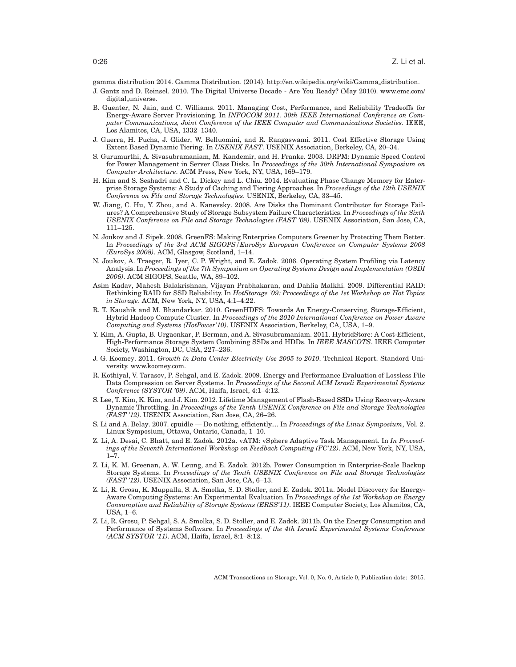gamma distribution 2014. Gamma Distribution. (2014). http://en.wikipedia.org/wiki/Gamma distribution.

- J. Gantz and D. Reinsel. 2010. The Digital Universe Decade Are You Ready? (May 2010). www.emc.com/ digital universe.
- B. Guenter, N. Jain, and C. Williams. 2011. Managing Cost, Performance, and Reliability Tradeoffs for Energy-Aware Server Provisioning. In *INFOCOM 2011. 30th IEEE International Conference on Computer Communications, Joint Conference of the IEEE Computer and Communications Societies*. IEEE, Los Alamitos, CA, USA, 1332–1340.
- J. Guerra, H. Pucha, J. Glider, W. Belluomini, and R. Rangaswami. 2011. Cost Effective Storage Using Extent Based Dynamic Tiering. In *USENIX FAST*. USENIX Association, Berkeley, CA, 20–34.
- S. Gurumurthi, A. Sivasubramaniam, M. Kandemir, and H. Franke. 2003. DRPM: Dynamic Speed Control for Power Management in Server Class Disks. In *Proceedings of the 30th International Symposium on Computer Architecture*. ACM Press, New York, NY, USA, 169–179.
- H. Kim and S. Seshadri and C. L. Dickey and L. Chiu. 2014. Evaluating Phase Change Memory for Enterprise Storage Systems: A Study of Caching and Tiering Approaches. In *Proceedings of the 12th USENIX Conference on File and Storage Technologies*. USENIX, Berkeley, CA, 33–45.
- W. Jiang, C. Hu, Y. Zhou, and A. Kanevsky. 2008. Are Disks the Dominant Contributor for Storage Failures? A Comprehensive Study of Storage Subsystem Failure Characteristics. In *Proceedings of the Sixth USENIX Conference on File and Storage Technologies (FAST '08)*. USENIX Association, San Jose, CA, 111–125.
- N. Joukov and J. Sipek. 2008. GreenFS: Making Enterprise Computers Greener by Protecting Them Better. In *Proceedings of the 3rd ACM SIGOPS/EuroSys European Conference on Computer Systems 2008 (EuroSys 2008)*. ACM, Glasgow, Scotland, 1–14.
- N. Joukov, A. Traeger, R. Iyer, C. P. Wright, and E. Zadok. 2006. Operating System Profiling via Latency Analysis. In *Proceedings of the 7th Symposium on Operating Systems Design and Implementation (OSDI 2006)*. ACM SIGOPS, Seattle, WA, 89–102.
- Asim Kadav, Mahesh Balakrishnan, Vijayan Prabhakaran, and Dahlia Malkhi. 2009. Differential RAID: Rethinking RAID for SSD Reliability. In *HotStorage '09: Proceedings of the 1st Workshop on Hot Topics in Storage*. ACM, New York, NY, USA, 4:1–4:22.
- R. T. Kaushik and M. Bhandarkar. 2010. GreenHDFS: Towards An Energy-Conserving, Storage-Efficient, Hybrid Hadoop Compute Cluster. In *Proceedings of the 2010 International Conference on Power Aware Computing and Systems (HotPower'10)*. USENIX Association, Berkeley, CA, USA, 1–9.
- Y. Kim, A. Gupta, B. Urgaonkar, P. Berman, and A. Sivasubramaniam. 2011. HybridStore: A Cost-Efficient, High-Performance Storage System Combining SSDs and HDDs. In *IEEE MASCOTS*. IEEE Computer Society, Washington, DC, USA, 227–236.
- J. G. Koomey. 2011. *Growth in Data Center Electricity Use 2005 to 2010*. Technical Report. Standord University. www.koomey.com.
- R. Kothiyal, V. Tarasov, P. Sehgal, and E. Zadok. 2009. Energy and Performance Evaluation of Lossless File Data Compression on Server Systems. In *Proceedings of the Second ACM Israeli Experimental Systems Conference (SYSTOR '09)*. ACM, Haifa, Israel, 4:1–4:12.
- S. Lee, T. Kim, K. Kim, and J. Kim. 2012. Lifetime Management of Flash-Based SSDs Using Recovery-Aware Dynamic Throttling. In *Proceedings of the Tenth USENIX Conference on File and Storage Technologies (FAST '12)*. USENIX Association, San Jose, CA, 26–26.
- S. Li and A. Belay. 2007. cpuidle Do nothing, efficiently.... In *Proceedings of the Linux Symposium*, Vol. 2. Linux Symposium, Ottawa, Ontario, Canada, 1–10.
- Z. Li, A. Desai, C. Bhatt, and E. Zadok. 2012a. vATM: vSphere Adaptive Task Management. In *In Proceedings of the Seventh International Workshop on Feedback Computing (FC'12)*. ACM, New York, NY, USA, 1–7.
- Z. Li, K. M. Greenan, A. W. Leung, and E. Zadok. 2012b. Power Consumption in Enterprise-Scale Backup Storage Systems. In *Proceedings of the Tenth USENIX Conference on File and Storage Technologies (FAST '12)*. USENIX Association, San Jose, CA, 6–13.
- Z. Li, R. Grosu, K. Muppalla, S. A. Smolka, S. D. Stoller, and E. Zadok. 2011a. Model Discovery for Energy-Aware Computing Systems: An Experimental Evaluation. In *Proceedings of the 1st Workshop on Energy Consumption and Reliability of Storage Systems (ERSS'11)*. IEEE Computer Society, Los Alamitos, CA, USA, 1–6.
- Z. Li, R. Grosu, P. Sehgal, S. A. Smolka, S. D. Stoller, and E. Zadok. 2011b. On the Energy Consumption and Performance of Systems Software. In *Proceedings of the 4th Israeli Experimental Systems Conference (ACM SYSTOR '11)*. ACM, Haifa, Israel, 8:1–8:12.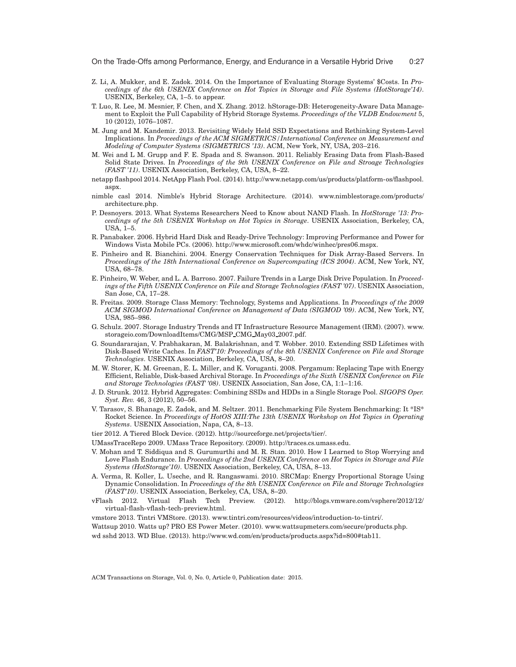On the Trade-Offs among Performance, Energy, and Endurance in a Versatile Hybrid Drive 0:27

- Z. Li, A. Mukker, and E. Zadok. 2014. On the Importance of Evaluating Storage Systems' \$Costs. In *Proceedings of the 6th USENIX Conference on Hot Topics in Storage and File Systems (HotStorage'14)*. USENIX, Berkeley, CA, 1–5. to appear.
- T. Luo, R. Lee, M. Mesnier, F. Chen, and X. Zhang. 2012. hStorage-DB: Heterogeneity-Aware Data Management to Exploit the Full Capability of Hybrid Storage Systems. *Proceedings of the VLDB Endowment* 5, 10 (2012), 1076–1087.
- M. Jung and M. Kandemir. 2013. Revisiting Widely Held SSD Expectations and Rethinking System-Level Implications. In *Proceedings of the ACM SIGMETRICS/International Conference on Measurement and Modeling of Computer Systems (SIGMETRICS '13)*. ACM, New York, NY, USA, 203–216.
- M. Wei and L M. Grupp and F. E. Spada and S. Swanson. 2011. Reliably Erasing Data from Flash-Based Solid State Drives. In *Proceedings of the 9th USENIX Conference on File and Stroage Technologies (FAST '11)*. USENIX Association, Berkeley, CA, USA, 8–22.
- netapp flashpool 2014. NetApp Flash Pool. (2014). http://www.netapp.com/us/products/platform-os/flashpool. aspx.
- nimble casl 2014. Nimble's Hybrid Storage Architecture. (2014). www.nimblestorage.com/products/ architecture.php.
- P. Desnoyers. 2013. What Systems Researchers Need to Know about NAND Flash. In *HotStorage '13: Proceedings of the 5th USENIX Workshop on Hot Topics in Storage*. USENIX Association, Berkeley, CA, USA, 1–5.
- R. Panabaker. 2006. Hybrid Hard Disk and Ready-Drive Technology: Improving Performance and Power for Windows Vista Mobile PCs. (2006). http://www.microsoft.com/whdc/winhec/pres06.mspx.
- E. Pinheiro and R. Bianchini. 2004. Energy Conservation Techniques for Disk Array-Based Servers. In *Proceedings of the 18th International Conference on Supercomputing (ICS 2004)*. ACM, New York, NY, USA, 68–78.
- E. Pinheiro, W. Weber, and L. A. Barroso. 2007. Failure Trends in a Large Disk Drive Population. In *Proceedings of the Fifth USENIX Conference on File and Storage Technologies (FAST '07)*. USENIX Association, San Jose, CA, 17–28.
- R. Freitas. 2009. Storage Class Memory: Technology, Systems and Applications. In *Proceedings of the 2009 ACM SIGMOD International Conference on Management of Data (SIGMOD '09)*. ACM, New York, NY, USA, 985–986.
- G. Schulz. 2007. Storage Industry Trends and IT Infrastructure Resource Management (IRM). (2007). www. storageio.com/DownloadItems/CMG/MSP CMG May03 2007.pdf.
- G. Soundararajan, V. Prabhakaran, M. Balakrishnan, and T. Wobber. 2010. Extending SSD Lifetimes with Disk-Based Write Caches. In *FAST'10: Proceedings of the 8th USENIX Conference on File and Storage Technologies*. USENIX Association, Berkeley, CA, USA, 8–20.
- M. W. Storer, K. M. Greenan, E. L. Miller, and K. Voruganti. 2008. Pergamum: Replacing Tape with Energy Efficient, Reliable, Disk-based Archival Storage. In *Proceedings of the Sixth USENIX Conference on File and Storage Technologies (FAST '08)*. USENIX Association, San Jose, CA, 1:1–1:16.
- J. D. Strunk. 2012. Hybrid Aggregates: Combining SSDs and HDDs in a Single Storage Pool. *SIGOPS Oper. Syst. Rev.* 46, 3 (2012), 50–56.
- V. Tarasov, S. Bhanage, E. Zadok, and M. Seltzer. 2011. Benchmarking File System Benchmarking: It \*IS\* Rocket Science. In *Proceedings of HotOS XIII:The 13th USENIX Workshop on Hot Topics in Operating Systems*. USENIX Association, Napa, CA, 8–13.
- tier 2012. A Tiered Block Device. (2012). http://sourceforge.net/projects/tier/.
- UMassTraceRepo 2009. UMass Trace Repository. (2009). http://traces.cs.umass.edu.
- V. Mohan and T. Siddiqua and S. Gurumurthi and M. R. Stan. 2010. How I Learned to Stop Worrying and Love Flash Endurance. In *Proceedings of the 2nd USENIX Conference on Hot Topics in Storage and File Systems (HotStorage'10)*. USENIX Association, Berkeley, CA, USA, 8–13.
- A. Verma, R. Koller, L. Useche, and R. Rangaswami. 2010. SRCMap: Energy Proportional Storage Using Dynamic Consolidation. In *Proceedings of the 8th USENIX Conference on File and Storage Technologies (FAST'10)*. USENIX Association, Berkeley, CA, USA, 8–20.
- vFlash 2012. Virtual Flash Tech Preview. (2012). http://blogs.vmware.com/vsphere/2012/12/ virtual-flash-vflash-tech-preview.html.
- vmstore 2013. Tintri VMStore. (2013). www.tintri.com/resources/videos/introduction-to-tintri/.
- Wattsup 2010. Watts up? PRO ES Power Meter. (2010). www.wattsupmeters.com/secure/products.php. wd sshd 2013. WD Blue. (2013). http://www.wd.com/en/products/products.aspx?id=800#tab11.